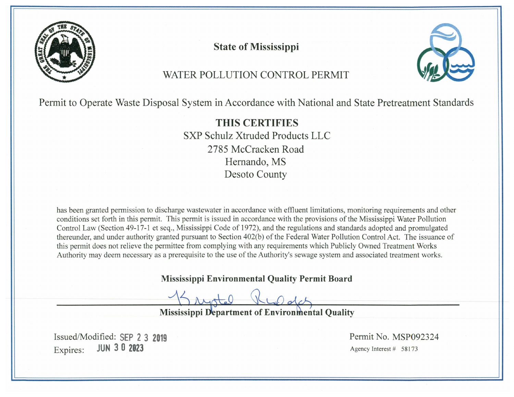

**State of Mississippi** 



# WATER POLLUTION CONTROL PERMIT

Permit to Operate Waste Disposal System in Accordance with National and State Pretreatment Standards

**THIS CERTIFIES** SXP Schulz Xtruded Products LLC 2785 McCracken Road Hernando, MS **Desoto County** 

has been granted permission to discharge wastewater in accordance with effluent limitations, monitoring requirements and other conditions set forth in this permit. This permit is issued in accordance with the provisions of the Mississippi Water Pollution Control Law (Section 49-17-1 et seq., Mississippi Code of 1972), and the regulations and standards adopted and promulgated thereunder, and under authority granted pursuant to Section 402(b) of the Federal Water Pollution Control Act. The issuance of this permit does not relieve the permittee from complying with any requirements which Publicly Owned Treatment Works Authority may deem necessary as a prerequisite to the use of the Authority's sewage system and associated treatment works.

**Mississippi Environmental Quality Permit Board** 

**Mississippi Department of Environmental Quality** 

Issued/Modified: SEP 2 3 2019 **IUN 30 2023** Expires:

Permit No. MSP092324 Agency Interest # 58173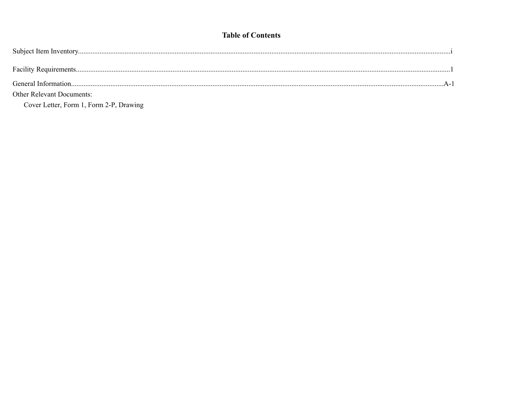## **Table of Contents**

| <b>Other Relevant Documents:</b> |  |
|----------------------------------|--|
|                                  |  |

Cover Letter, Form 1, Form 2-P, Drawing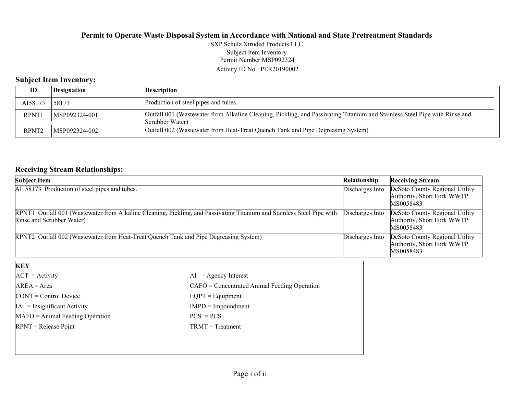Permit Number:MSP092324 Activity ID No.: PER20190002 SXP Schulz Xtruded Products LLC Subject Item Inventory

## **Subject Item Inventory:**

| ID                | Designation   | Description                                                                                                                                    |
|-------------------|---------------|------------------------------------------------------------------------------------------------------------------------------------------------|
| AI58173           | 158173        | Production of steel pipes and tubes.                                                                                                           |
| <b>RPNT1</b>      | MSP092324-001 | Outfall 001 (Wastewater from Alkaline Cleaning, Pickling, and Passivating Titanium and Stainless Steel Pipe with Rinse and<br>'Scrubber Water) |
| RPNT <sub>2</sub> | MSP092324-002 | Outfall 002 (Wastewater from Heat-Treat Quench Tank and Pipe Degreasing System)                                                                |

## **Receiving Stream Relationships:**

| <b>Subject Item</b>                                                                                                                                 | Relationship    | <b>Receiving Stream</b>                                                   |
|-----------------------------------------------------------------------------------------------------------------------------------------------------|-----------------|---------------------------------------------------------------------------|
| AI 58173 Production of steel pipes and tubes.                                                                                                       | Discharges Into | DeSoto County Regional Utility<br>Authority, Short Fork WWTP<br>MS0058483 |
| RPNT1 Outfall 001 (Wastewater from Alkaline Cleaning, Pickling, and Passivating Titanium and Stainless Steel Pipe with<br>Rinse and Scrubber Water) | Discharges Into | DeSoto County Regional Utility<br>Authority, Short Fork WWTP<br>MS0058483 |
| RPNT2 Outfall 002 (Wastewater from Heat-Treat Quench Tank and Pipe Degreasing System)                                                               | Discharges Into | DeSoto County Regional Utility<br>Authority, Short Fork WWTP<br>MS0058483 |
| KEY                                                                                                                                                 |                 |                                                                           |

| $AI = Agency Interest$                         |
|------------------------------------------------|
| $CAFO =$ Concentrated Animal Feeding Operation |
| $EQPT = Equipment$                             |
| $IMPD = Important$                             |
| $PCS = PCs$                                    |
| $TRMT = Treatment$                             |
|                                                |
|                                                |
|                                                |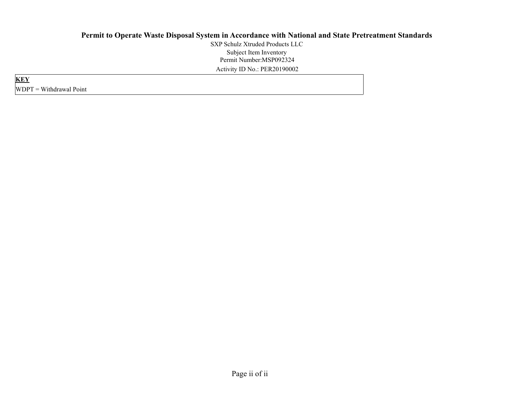Permit Number:MSP092324 Activity ID No.: PER20190002 SXP Schulz Xtruded Products LLCSubject Item Inventory

**KEY** WDPT = Withdrawal Point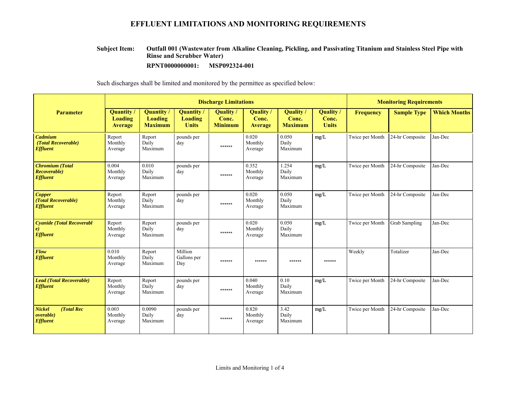#### **Outfall 001 (Wastewater from Alkaline Cleaning, Pickling, and Passivating Titanium and Stainless Steel Pipe with Rinse and Scrubber Water) Subject Item:**

**RPNT0000000001: MSP092324-001**

|                                                                     |                                                |                                                       | <b>Discharge Limitations</b>        |                                      | <b>Monitoring Requirements</b>       |                                      |                                    |                  |                      |                     |
|---------------------------------------------------------------------|------------------------------------------------|-------------------------------------------------------|-------------------------------------|--------------------------------------|--------------------------------------|--------------------------------------|------------------------------------|------------------|----------------------|---------------------|
| <b>Parameter</b>                                                    | <b>Quantity</b> /<br>Loading<br><b>Average</b> | <b>Quantity</b> /<br><b>Loading</b><br><b>Maximum</b> | Quantity<br>Loading<br><b>Units</b> | Quality /<br>Conc.<br><b>Minimum</b> | Quality /<br>Conc.<br><b>Average</b> | Quality /<br>Conc.<br><b>Maximum</b> | Quality /<br>Conc.<br><b>Units</b> | <b>Frequency</b> | <b>Sample Type</b>   | <b>Which Months</b> |
| Cadmium<br>(Total Recoverable)<br><b>Effluent</b>                   | Report<br>Monthly<br>Average                   | Report<br>Daily<br>Maximum                            | pounds per<br>day                   | ******                               | 0.020<br>Monthly<br>Average          | 0.050<br>Daily<br>Maximum            | mg/L                               | Twice per Month  | 24-hr Composite      | Jan-Dec             |
| <b>Chromium</b> (Total<br>Recoverable)<br><b>Effluent</b>           | 0.004<br>Monthly<br>Average                    | 0.010<br>Daily<br>Maximum                             | pounds per<br>day                   | ******                               | 0.352<br>Monthly<br>Average          | 1.254<br>Daily<br>Maximum            | mg/L                               | Twice per Month  | 24-hr Composite      | Jan-Dec             |
| <b>Copper</b><br>(Total Recoverable)<br><b>Effluent</b>             | Report<br>Monthly<br>Average                   | Report<br>Daily<br>Maximum                            | pounds per<br>day                   | ******                               | 0.020<br>Monthly<br>Average          | 0.050<br>Daily<br>Maximum            | mg/L                               | Twice per Month  | 24-hr Composite      | Jan-Dec             |
| <b>Cyanide (Total Recoverabl</b><br>$\epsilon$<br><b>Effluent</b>   | Report<br>Monthly<br>Average                   | Report<br>Daily<br>Maximum                            | pounds per<br>day                   | ******                               | 0.020<br>Monthly<br>Average          | 0.050<br>Daily<br>Maximum            | mg/L                               | Twice per Month  | <b>Grab Sampling</b> | Jan-Dec             |
| Flow<br><b>Effluent</b>                                             | 0.010<br>Monthly<br>Average                    | Report<br>Daily<br>Maximum                            | Million<br>Gallons per<br>Day       | ******                               | ******                               | ******                               | ******                             | Weekly           | Totalizer            | Jan-Dec             |
| <b>Lead (Total Recoverable)</b><br><b>Effluent</b>                  | Report<br>Monthly<br>Average                   | Report<br>Daily<br>Maximum                            | pounds per<br>day                   | ******                               | 0.040<br>Monthly<br>Average          | 0.10<br>Daily<br>Maximum             | mg/L                               | Twice per Month  | 24-hr Composite      | Jan-Dec             |
| <b>Nickel</b><br>(Total Rec<br><i>overable</i> )<br><b>Effluent</b> | 0.003<br>Monthly<br>Average                    | 0.0090<br>Daily<br>Maximum                            | pounds per<br>day                   | ******                               | 0.820<br>Monthly<br>Average          | 3.42<br>Daily<br>Maximum             | mg/L                               | Twice per Month  | 24-hr Composite      | Jan-Dec             |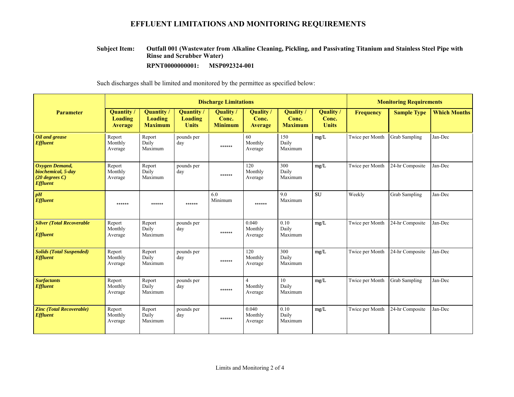#### **Outfall 001 (Wastewater from Alkaline Cleaning, Pickling, and Passivating Titanium and Stainless Steel Pipe with Rinse and Scrubber Water) Subject Item:**

**RPNT0000000001: MSP092324-001**

|                                                                             | <b>Discharge Limitations</b>                        |                                                |                                      |                                      |                                           |                                     |                                    | <b>Monitoring Requirements</b> |                      |                     |  |
|-----------------------------------------------------------------------------|-----------------------------------------------------|------------------------------------------------|--------------------------------------|--------------------------------------|-------------------------------------------|-------------------------------------|------------------------------------|--------------------------------|----------------------|---------------------|--|
| <b>Parameter</b>                                                            | <b>Quantity</b><br><b>Loading</b><br><b>Average</b> | <b>Quantity</b> /<br>Loading<br><b>Maximum</b> | Quantity/<br>Loading<br><b>Units</b> | Quality /<br>Conc.<br><b>Minimum</b> | <b>Quality</b><br>Conc.<br><b>Average</b> | Quality/<br>Conc.<br><b>Maximum</b> | Quality /<br>Conc.<br><b>Units</b> | <b>Frequency</b>               | <b>Sample Type</b>   | <b>Which Months</b> |  |
| Oil and grease<br><b>Effluent</b>                                           | Report<br>Monthly<br>Average                        | Report<br>Daily<br>Maximum                     | pounds per<br>day                    | ******                               | 60<br>Monthly<br>Average                  | 150<br>Daily<br>Maximum             | mg/L                               | Twice per Month                | <b>Grab Sampling</b> | Jan-Dec             |  |
| Oxygen Demand,<br>biochemical, 5-day<br>$(20$ degrees C)<br><b>Effluent</b> | Report<br>Monthly<br>Average                        | Report<br>Daily<br>Maximum                     | pounds per<br>day                    | ******                               | 120<br>Monthly<br>Average                 | 300<br>Daily<br>Maximum             | mg/L                               | Twice per Month                | 24-hr Composite      | Jan-Dec             |  |
| pH<br><b>Effluent</b>                                                       | ******                                              | ******                                         | ******                               | 6.0<br>Minimum                       | ******                                    | 9.0<br>Maximum                      | <b>SU</b>                          | Weekly                         | <b>Grab Sampling</b> | Jan-Dec             |  |
| <b>Silver (Total Recoverable)</b><br><b>Effluent</b>                        | Report<br>Monthly<br>Average                        | Report<br>Daily<br>Maximum                     | pounds per<br>day                    | ******                               | 0.040<br>Monthly<br>Average               | 0.10<br>Daily<br>Maximum            | mg/L                               | Twice per Month                | 24-hr Composite      | Jan-Dec             |  |
| <b>Solids (Total Suspended)</b><br><b>Effluent</b>                          | Report<br>Monthly<br>Average                        | Report<br>Daily<br>Maximum                     | pounds per<br>day                    | ******                               | 120<br>Monthly<br>Average                 | 300<br>Daily<br>Maximum             | mg/L                               | Twice per Month                | 24-hr Composite      | Jan-Dec             |  |
| <b>Surfactants</b><br><b>Effluent</b>                                       | Report<br>Monthly<br>Average                        | Report<br>Daily<br>Maximum                     | pounds per<br>day                    | ******                               | $\overline{4}$<br>Monthly<br>Average      | 10<br>Daily<br>Maximum              | mg/L                               | Twice per Month                | Grab Sampling        | Jan-Dec             |  |
| <b>Zinc (Total Recoverable)</b><br><b>Effluent</b>                          | Report<br>Monthly<br>Average                        | Report<br>Daily<br>Maximum                     | pounds per<br>day                    | $******$                             | 0.040<br>Monthly<br>Average               | 0.10<br>Daily<br>Maximum            | mg/L                               | Twice per Month                | 24-hr Composite      | Jan-Dec             |  |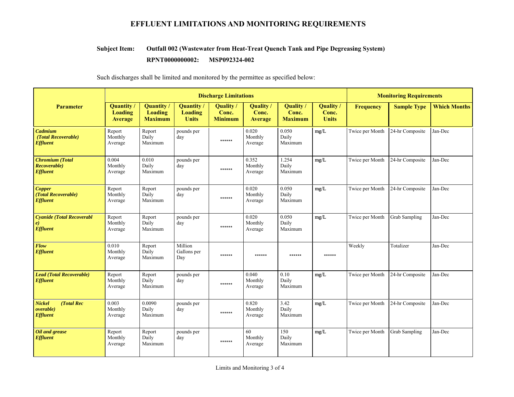#### **Outfall 002 (Wastewater from Heat-Treat Quench Tank and Pipe Degreasing System) Subject Item:**

#### **RPNT0000000002:** MSP092324-002

|                                                                     | <b>Discharge Limitations</b>                 |                                                       |                                             |                                      |                               |                                      |                                    |                  | <b>Monitoring Requirements</b> |                     |
|---------------------------------------------------------------------|----------------------------------------------|-------------------------------------------------------|---------------------------------------------|--------------------------------------|-------------------------------|--------------------------------------|------------------------------------|------------------|--------------------------------|---------------------|
| <b>Parameter</b>                                                    | <b>Quantity</b><br><b>Loading</b><br>Average | <b>Quantity</b> /<br><b>Loading</b><br><b>Maximum</b> | Quantity/<br><b>Loading</b><br><b>Units</b> | Quality /<br>Conc.<br><b>Minimum</b> | Quality /<br>Conc.<br>Average | Quality /<br>Conc.<br><b>Maximum</b> | Quality /<br>Conc.<br><b>Units</b> | <b>Frequency</b> | <b>Sample Type</b>             | <b>Which Months</b> |
| Cadmium<br>(Total Recoverable)<br><b>Effluent</b>                   | Report<br>Monthly<br>Average                 | Report<br>Daily<br>Maximum                            | pounds per<br>day                           | ******                               | 0.020<br>Monthly<br>Average   | 0.050<br>Daily<br>Maximum            | mg/L                               | Twice per Month  | 24-hr Composite                | Jan-Dec             |
| <b>Chromium</b> (Total<br>Recoverable)<br><b>Effluent</b>           | 0.004<br>Monthly<br>Average                  | 0.010<br>Daily<br>Maximum                             | pounds per<br>day                           | ******                               | 0.352<br>Monthly<br>Average   | 1.254<br>Daily<br>Maximum            | mg/L                               | Twice per Month  | 24-hr Composite                | Jan-Dec             |
| <b>Copper</b><br>(Total Recoverable)<br><b>Effluent</b>             | Report<br>Monthly<br>Average                 | Report<br>Daily<br>Maximum                            | pounds per<br>day                           | ******                               | 0.020<br>Monthly<br>Average   | 0.050<br>Daily<br>Maximum            | mg/L                               | Twice per Month  | 24-hr Composite                | Jan-Dec             |
| <b>Cyanide (Total Recoverabl</b><br>$\epsilon$<br><b>Effluent</b>   | Report<br>Monthly<br>Average                 | Report<br>Daily<br>Maximum                            | pounds per<br>day                           | ******                               | 0.020<br>Monthly<br>Average   | 0.050<br>Daily<br>Maximum            | mg/L                               | Twice per Month  | Grab Sampling                  | Jan-Dec             |
| Flow<br><b>Effluent</b>                                             | 0.010<br>Monthly<br>Average                  | Report<br>Daily<br>Maximum                            | Million<br>Gallons per<br>Day               | ******                               | ******                        | ******                               | ******                             | Weekly           | Totalizer                      | Jan-Dec             |
| <b>Lead (Total Recoverable)</b><br><b>Effluent</b>                  | Report<br>Monthly<br>Average                 | Report<br>Daily<br>Maximum                            | pounds per<br>day                           | ******                               | 0.040<br>Monthly<br>Average   | 0.10<br>Daily<br>Maximum             | mg/L                               | Twice per Month  | 24-hr Composite                | Jan-Dec             |
| <b>Nickel</b><br>(Total Rec<br><i>overable</i> )<br><b>Effluent</b> | 0.003<br>Monthly<br>Average                  | 0.0090<br>Daily<br>Maximum                            | pounds per<br>day                           | ******                               | 0.820<br>Monthly<br>Average   | 3.42<br>Daily<br>Maximum             | mg/L                               | Twice per Month  | 24-hr Composite                | Jan-Dec             |
| Oil and grease<br><b>Effluent</b>                                   | Report<br>Monthly<br>Average                 | Report<br>Daily<br>Maximum                            | pounds per<br>day                           | ******                               | 60<br>Monthly<br>Average      | 150<br>Daily<br>Maximum              | mg/L                               | Twice per Month  | <b>Grab Sampling</b>           | Jan-Dec             |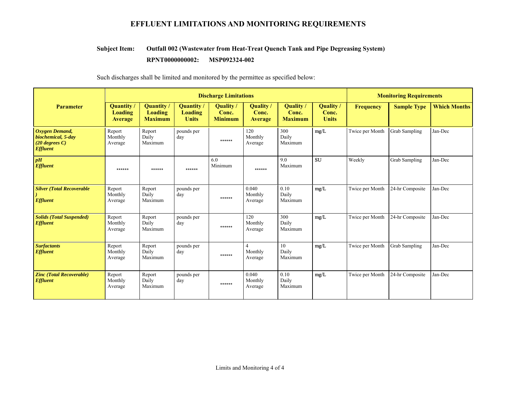#### **Outfall 002 (Wastewater from Heat-Treat Quench Tank and Pipe Degreasing System) Subject Item:**

#### **RPNT0000000002:** MSP092324-002

|                                                                             |                                         |                                                       | <b>Discharge Limitations</b>         | <b>Monitoring Requirements</b>            |                                      |                                             |                                    |                  |                      |                     |
|-----------------------------------------------------------------------------|-----------------------------------------|-------------------------------------------------------|--------------------------------------|-------------------------------------------|--------------------------------------|---------------------------------------------|------------------------------------|------------------|----------------------|---------------------|
| <b>Parameter</b>                                                            | Quantity /<br>Loading<br><b>Average</b> | <b>Quantity</b> /<br><b>Loading</b><br><b>Maximum</b> | Quantity/<br>Loading<br><b>Units</b> | <b>Quality</b><br>Conc.<br><b>Minimum</b> | Quality /<br>Conc.<br><b>Average</b> | <b>Quality</b> /<br>Conc.<br><b>Maximum</b> | Quality /<br>Conc.<br><b>Units</b> | <b>Frequency</b> | <b>Sample Type</b>   | <b>Which Months</b> |
| Oxygen Demand,<br>biochemical, 5-day<br>$(20$ degrees C)<br><b>Effluent</b> | Report<br>Monthly<br>Average            | Report<br>Daily<br>Maximum                            | pounds per<br>day                    | ******                                    | 120<br>Monthly<br>Average            | 300<br>Daily<br>Maximum                     | mg/L                               | Twice per Month  | <b>Grab Sampling</b> | Jan-Dec             |
| pH<br><b>Effluent</b>                                                       | ******                                  | ******                                                | ******                               | 6.0<br>Minimum                            | ******                               | 9.0<br>Maximum                              | SU                                 | Weekly           | <b>Grab Sampling</b> | Jan-Dec             |
| <b>Silver (Total Recoverable)</b><br><b>Effluent</b>                        | Report<br>Monthly<br>Average            | Report<br>Daily<br>Maximum                            | pounds per<br>day                    | ******                                    | 0.040<br>Monthly<br>Average          | 0.10<br>Daily<br>Maximum                    | mg/L                               | Twice per Month  | 24-hr Composite      | Jan-Dec             |
| <b>Solids (Total Suspended)</b><br><b>Effluent</b>                          | Report<br>Monthly<br>Average            | Report<br>Daily<br>Maximum                            | pounds per<br>day                    | ******                                    | 120<br>Monthly<br>Average            | 300<br>Daily<br>Maximum                     | mg/L                               | Twice per Month  | 24-hr Composite      | Jan-Dec             |
| <b>Surfactants</b><br><b>Effluent</b>                                       | Report<br>Monthly<br>Average            | Report<br>Daily<br>Maximum                            | pounds per<br>day                    | ******                                    | $\overline{4}$<br>Monthly<br>Average | 10<br>Daily<br>Maximum                      | mg/L                               | Twice per Month  | <b>Grab Sampling</b> | Jan-Dec             |
| <b>Zinc (Total Recoverable)</b><br><b>Effluent</b>                          | Report<br>Monthly<br>Average            | Report<br>Daily<br>Maximum                            | pounds per<br>day                    | ******                                    | 0.040<br>Monthly<br>Average          | 0.10<br>Daily<br>Maximum                    | mg/L                               | Twice per Month  | 24-hr Composite      | Jan-Dec             |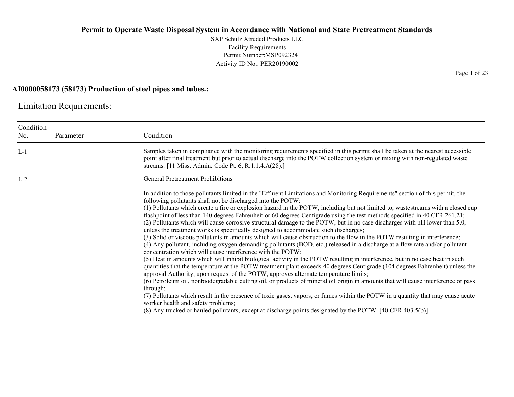SXP Schulz Xtruded Products LLC Facility Requirements Permit Number:MSP092324 Activity ID No.: PER20190002

#### **AI0000058173 (58173) Production of steel pipes and tubes.:**

Limitation Requirements:

| Condition<br>No. | Parameter | Condition                                                                                                                                                                                                                                                                                                                                                                                                                                                                                                                                                                                                                                                                                                                                                                                                                                                                                                                                                                                                                                                                                                                                                                                                                                                                                                                                                                                                                                                                                                                                                                                                                                                                                                                                                                                                          |
|------------------|-----------|--------------------------------------------------------------------------------------------------------------------------------------------------------------------------------------------------------------------------------------------------------------------------------------------------------------------------------------------------------------------------------------------------------------------------------------------------------------------------------------------------------------------------------------------------------------------------------------------------------------------------------------------------------------------------------------------------------------------------------------------------------------------------------------------------------------------------------------------------------------------------------------------------------------------------------------------------------------------------------------------------------------------------------------------------------------------------------------------------------------------------------------------------------------------------------------------------------------------------------------------------------------------------------------------------------------------------------------------------------------------------------------------------------------------------------------------------------------------------------------------------------------------------------------------------------------------------------------------------------------------------------------------------------------------------------------------------------------------------------------------------------------------------------------------------------------------|
| $L-1$            |           | Samples taken in compliance with the monitoring requirements specified in this permit shall be taken at the nearest accessible<br>point after final treatment but prior to actual discharge into the POTW collection system or mixing with non-regulated waste<br>streams. [11 Miss. Admin. Code Pt. 6, R.1.1.4.A(28).]                                                                                                                                                                                                                                                                                                                                                                                                                                                                                                                                                                                                                                                                                                                                                                                                                                                                                                                                                                                                                                                                                                                                                                                                                                                                                                                                                                                                                                                                                            |
| $L-2$            |           | <b>General Pretreatment Prohibitions</b>                                                                                                                                                                                                                                                                                                                                                                                                                                                                                                                                                                                                                                                                                                                                                                                                                                                                                                                                                                                                                                                                                                                                                                                                                                                                                                                                                                                                                                                                                                                                                                                                                                                                                                                                                                           |
|                  |           | In addition to those pollutants limited in the "Effluent Limitations and Monitoring Requirements" section of this permit, the<br>following pollutants shall not be discharged into the POTW:<br>(1) Pollutants which create a fire or explosion hazard in the POTW, including but not limited to, wastestreams with a closed cup<br>flashpoint of less than 140 degrees Fahrenheit or 60 degrees Centigrade using the test methods specified in 40 CFR 261.21;<br>(2) Pollutants which will cause corrosive structural damage to the POTW, but in no case discharges with pH lower than 5.0,<br>unless the treatment works is specifically designed to accommodate such discharges;<br>(3) Solid or viscous pollutants in amounts which will cause obstruction to the flow in the POTW resulting in interference;<br>(4) Any pollutant, including oxygen demanding pollutants (BOD, etc.) released in a discharge at a flow rate and/or pollutant<br>concentration which will cause interference with the POTW;<br>(5) Heat in amounts which will inhibit biological activity in the POTW resulting in interference, but in no case heat in such<br>quantities that the temperature at the POTW treatment plant exceeds 40 degrees Centigrade (104 degrees Fahrenheit) unless the<br>approval Authority, upon request of the POTW, approves alternate temperature limits;<br>(6) Petroleum oil, nonbiodegradable cutting oil, or products of mineral oil origin in amounts that will cause interference or pass<br>through;<br>(7) Pollutants which result in the presence of toxic gases, vapors, or fumes within the POTW in a quantity that may cause acute<br>worker health and safety problems;<br>(8) Any trucked or hauled pollutants, except at discharge points designated by the POTW. [40 CFR 403.5(b)] |

Page 1 of 23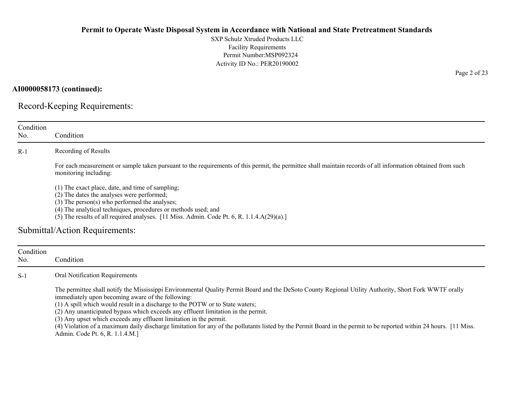SXP Schulz Xtruded Products LLC Facility Requirements Permit Number:MSP092324 Activity ID No.: PER20190002

**AI0000058173 (continued):**

Record-Keeping Requirements:

| Condition        |                                                                                                                                                                                                                                                                                                                                                                                                                                                                                                                                                                                                                                                                  |
|------------------|------------------------------------------------------------------------------------------------------------------------------------------------------------------------------------------------------------------------------------------------------------------------------------------------------------------------------------------------------------------------------------------------------------------------------------------------------------------------------------------------------------------------------------------------------------------------------------------------------------------------------------------------------------------|
| No.              | Condition                                                                                                                                                                                                                                                                                                                                                                                                                                                                                                                                                                                                                                                        |
| $R-1$            | Recording of Results                                                                                                                                                                                                                                                                                                                                                                                                                                                                                                                                                                                                                                             |
|                  | For each measurement or sample taken pursuant to the requirements of this permit, the permittee shall maintain records of all information obtained from such<br>monitoring including:                                                                                                                                                                                                                                                                                                                                                                                                                                                                            |
|                  | (1) The exact place, date, and time of sampling;<br>(2) The dates the analyses were performed;<br>(3) The person(s) who performed the analyses;<br>(4) The analytical techniques, procedures or methods used; and<br>(5) The results of all required analyses. [11 Miss. Admin. Code Pt. 6, R. 1.1.4.A(29)(a).]                                                                                                                                                                                                                                                                                                                                                  |
|                  | Submittal/Action Requirements:                                                                                                                                                                                                                                                                                                                                                                                                                                                                                                                                                                                                                                   |
| Condition<br>No. | Condition                                                                                                                                                                                                                                                                                                                                                                                                                                                                                                                                                                                                                                                        |
| $S-1$            | Oral Notification Requirements                                                                                                                                                                                                                                                                                                                                                                                                                                                                                                                                                                                                                                   |
|                  | The permittee shall notify the Mississippi Environmental Quality Permit Board and the DeSoto County Regional Utility Authority, Short Fork WWTF orally<br>immediately upon becoming aware of the following:<br>(1) A spill which would result in a discharge to the POTW or to State waters;<br>(2) Any unanticipated bypass which exceeds any effluent limitation in the permit.<br>(3) Any upset which exceeds any effluent limitation in the permit.<br>(4) Violation of a maximum daily discharge limitation for any of the pollutants listed by the Permit Board in the permit to be reported within 24 hours. [11 Miss.<br>Admin. Code Pt. 6, R. 1.1.4.M.] |

Page 2 of 23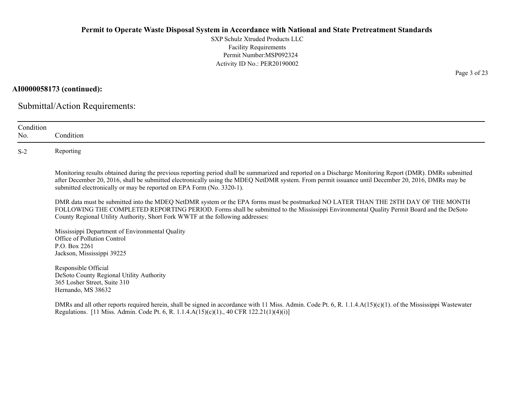SXP Schulz Xtruded Products LLC Facility Requirements Permit Number:MSP092324 Activity ID No.: PER20190002

## **AI0000058173 (continued):**

Submittal/Action Requirements:

| Condition<br>No. | Condition                                                                                                                                                                                                                                                                                                                                                                               |
|------------------|-----------------------------------------------------------------------------------------------------------------------------------------------------------------------------------------------------------------------------------------------------------------------------------------------------------------------------------------------------------------------------------------|
| $S-2$            | Reporting                                                                                                                                                                                                                                                                                                                                                                               |
|                  | Monitoring results obtained during the previous reporting period shall be summarized and reported on a Discharge Monitoring Report (DMR). DMRs submitted<br>after December 20, 2016, shall be submitted electronically using the MDEQ NetDMR system. From permit issuance until December 20, 2016, DMRs may be<br>submitted electronically or may be reported on EPA Form (No. 3320-1). |
|                  | DMR data must be submitted into the MDEQ NetDMR system or the EPA forms must be postmarked NO LATER THAN THE 28TH DAY OF THE MONTH<br>FOLLOWING THE COMPLETED REPORTING PERIOD. Forms shall be submitted to the Mississippi Environmental Quality Permit Board and the DeSoto<br>County Regional Utility Authority, Short Fork WWTF at the following addresses:                         |
|                  | Mississippi Department of Environmental Quality<br>Office of Pollution Control<br>P.O. Box 2261<br>Jackson, Mississippi 39225                                                                                                                                                                                                                                                           |
|                  | Responsible Official<br>DeSoto County Regional Utility Authority<br>365 Losher Street, Suite 310<br>Hernando, MS 38632                                                                                                                                                                                                                                                                  |
|                  | DMRs and all other reports required herein, shall be signed in accordance with 11 Miss. Admin. Code Pt. 6, R. 1.1.4.A(15)(c)(1). of the Mississippi Wastewater<br>Regulations. [11 Miss. Admin. Code Pt. 6, R. 1.1.4. $A(15)(c)(1)$ ., 40 CFR 122.21(1)(4)(i)]                                                                                                                          |

Page 3 of 23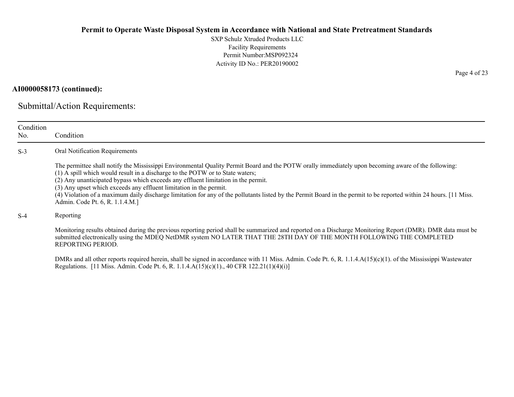SXP Schulz Xtruded Products LLC Facility Requirements Permit Number:MSP092324 Activity ID No.: PER20190002

## **AI0000058173 (continued):**

Submittal/Action Requirements:

| Condition<br>No. | Condition                                                                                                                                                                                                                                                                                                                                                                                                                                                                                                                                                                                                 |
|------------------|-----------------------------------------------------------------------------------------------------------------------------------------------------------------------------------------------------------------------------------------------------------------------------------------------------------------------------------------------------------------------------------------------------------------------------------------------------------------------------------------------------------------------------------------------------------------------------------------------------------|
| $S-3$            | Oral Notification Requirements                                                                                                                                                                                                                                                                                                                                                                                                                                                                                                                                                                            |
|                  | The permittee shall notify the Mississippi Environmental Quality Permit Board and the POTW orally immediately upon becoming aware of the following:<br>(1) A spill which would result in a discharge to the POTW or to State waters;<br>(2) Any unanticipated bypass which exceeds any effluent limitation in the permit.<br>(3) Any upset which exceeds any effluent limitation in the permit.<br>(4) Violation of a maximum daily discharge limitation for any of the pollutants listed by the Permit Board in the permit to be reported within 24 hours. [11 Miss.]<br>Admin. Code Pt. 6, R. 1.1.4.M.] |
| $S-4$            | Reporting                                                                                                                                                                                                                                                                                                                                                                                                                                                                                                                                                                                                 |
|                  | Monitoring results obtained during the previous reporting period shall be summarized and reported on a Discharge Monitoring Report (DMR). DMR data must be<br>submitted electronically using the MDEQ NetDMR system NO LATER THAT THE 28TH DAY OF THE MONTH FOLLOWING THE COMPLETED<br>REPORTING PERIOD.                                                                                                                                                                                                                                                                                                  |
|                  | DMRs and all other reports required herein, shall be signed in accordance with 11 Miss. Admin. Code Pt. 6, R. 1.1.4.A(15)(c)(1). of the Mississippi Wastewater<br>Regulations. [11 Miss. Admin. Code Pt. 6, R. 1.1.4. $A(15)(c)(1)$ ., 40 CFR 122.21(1)(4)(i)]                                                                                                                                                                                                                                                                                                                                            |

Page 4 of 23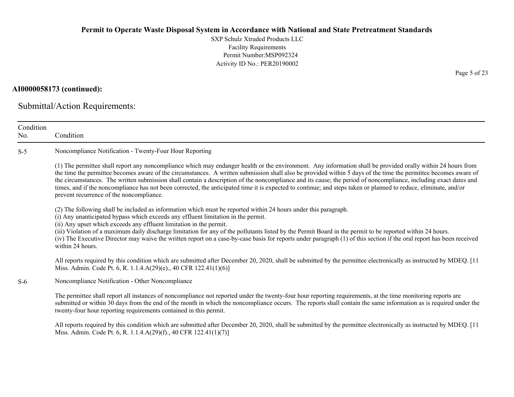SXP Schulz Xtruded Products LLC Facility Requirements Permit Number:MSP092324 Activity ID No.: PER20190002

## **AI0000058173 (continued):**

Submittal/Action Requirements:

| Condition<br>No. | Condition                                                                                                                                                                                                                                                                                                                                                                                                                                                                                                                                                                                                                                                                                                           |
|------------------|---------------------------------------------------------------------------------------------------------------------------------------------------------------------------------------------------------------------------------------------------------------------------------------------------------------------------------------------------------------------------------------------------------------------------------------------------------------------------------------------------------------------------------------------------------------------------------------------------------------------------------------------------------------------------------------------------------------------|
| $S-5$            | Noncompliance Notification - Twenty-Four Hour Reporting                                                                                                                                                                                                                                                                                                                                                                                                                                                                                                                                                                                                                                                             |
|                  | (1) The permittee shall report any noncompliance which may endanger health or the environment. Any information shall be provided orally within 24 hours from<br>the time the permittee becomes aware of the circumstances. A written submission shall also be provided within 5 days of the time the permittee becomes aware of<br>the circumstances. The written submission shall contain a description of the noncompliance and its cause; the period of noncompliance, including exact dates and<br>times, and if the noncompliance has not been corrected, the anticipated time it is expected to continue; and steps taken or planned to reduce, eliminate, and/or<br>prevent recurrence of the noncompliance. |
|                  | (2) The following shall be included as information which must be reported within 24 hours under this paragraph.<br>(i) Any unanticipated bypass which exceeds any effluent limitation in the permit.<br>(ii) Any upset which exceeds any effluent limitation in the permit.<br>(iii) Violation of a maximum daily discharge limitation for any of the pollutants listed by the Permit Board in the permit to be reported within 24 hours.<br>(iv) The Executive Director may waive the written report on a case-by-case basis for reports under paragraph (1) of this section if the oral report has been received<br>within 24 hours.                                                                              |
|                  | All reports required by this condition which are submitted after December 20, 2020, shall be submitted by the permittee electronically as instructed by MDEQ. [11]<br>Miss. Admin. Code Pt. 6, R. 1.1.4.A(29)(e)., 40 CFR 122.41(1)(6)]                                                                                                                                                                                                                                                                                                                                                                                                                                                                             |
| $S-6$            | Noncompliance Notification - Other Noncompliance                                                                                                                                                                                                                                                                                                                                                                                                                                                                                                                                                                                                                                                                    |
|                  | The permittee shall report all instances of noncompliance not reported under the twenty-four hour reporting requirements, at the time monitoring reports are<br>submitted or within 30 days from the end of the month in which the noncompliance occurs. The reports shall contain the same information as is required under the<br>twenty-four hour reporting requirements contained in this permit.                                                                                                                                                                                                                                                                                                               |
|                  | All reports required by this condition which are submitted after December 20, 2020, shall be submitted by the permittee electronically as instructed by MDEQ. [11                                                                                                                                                                                                                                                                                                                                                                                                                                                                                                                                                   |

Miss. Admin. Code Pt. 6, R. 1.1.4.A(29)(f)., 40 CFR 122.41(1)(7)]

Page 5 of 23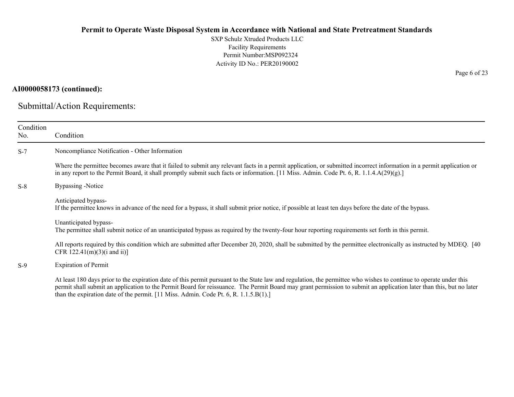SXP Schulz Xtruded Products LLC Facility Requirements Permit Number:MSP092324 Activity ID No.: PER20190002

## **AI0000058173 (continued):**

Submittal/Action Requirements:

| Condition<br>No. | Condition                                                                                                                                                                                                                                                                                                                                                                                                                            |
|------------------|--------------------------------------------------------------------------------------------------------------------------------------------------------------------------------------------------------------------------------------------------------------------------------------------------------------------------------------------------------------------------------------------------------------------------------------|
| $S-7$            | Noncompliance Notification - Other Information                                                                                                                                                                                                                                                                                                                                                                                       |
|                  | Where the permittee becomes aware that it failed to submit any relevant facts in a permit application, or submitted incorrect information in a permit application or<br>in any report to the Permit Board, it shall promptly submit such facts or information. [11 Miss. Admin. Code Pt. 6, R. 1.1.4.A(29)(g).]                                                                                                                      |
| $S-8$            | Bypassing -Notice                                                                                                                                                                                                                                                                                                                                                                                                                    |
|                  | Anticipated bypass-<br>If the permittee knows in advance of the need for a bypass, it shall submit prior notice, if possible at least ten days before the date of the bypass.                                                                                                                                                                                                                                                        |
|                  | Unanticipated bypass-<br>The permittee shall submit notice of an unanticipated bypass as required by the twenty-four hour reporting requirements set forth in this permit.                                                                                                                                                                                                                                                           |
|                  | All reports required by this condition which are submitted after December 20, 2020, shall be submitted by the permittee electronically as instructed by MDEQ. [40]<br>CFR $122.41(m)(3)(i$ and $ii)$ ]                                                                                                                                                                                                                               |
| $S-9$            | <b>Expiration of Permit</b>                                                                                                                                                                                                                                                                                                                                                                                                          |
|                  | At least 180 days prior to the expiration date of this permit pursuant to the State law and regulation, the permittee who wishes to continue to operate under this<br>permit shall submit an application to the Permit Board for reissuance. The Permit Board may grant permission to submit an application later than this, but no later<br>than the expiration date of the permit. [11 Miss. Admin. Code Pt. 6, R. $1.1.5.B(1).$ ] |

Page 6 of 23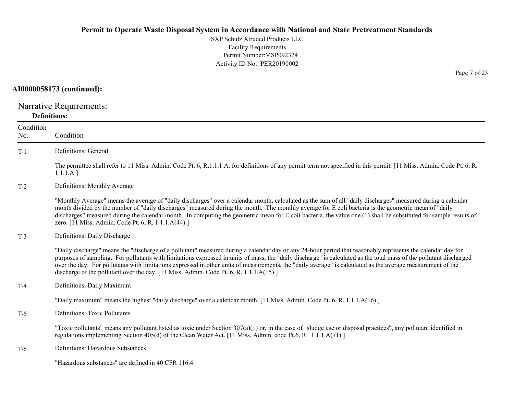SXP Schulz Xtruded Products LLC Facility Requirements Permit Number:MSP092324 Activity ID No.: PER20190002

## **AI0000058173 (continued):**

Narrative Requirements: **Definitions:**

| Condition<br>No. | Condition                                                                                                                                                                                                                                                                                                                                                                                                                                                                                                                                                                                   |
|------------------|---------------------------------------------------------------------------------------------------------------------------------------------------------------------------------------------------------------------------------------------------------------------------------------------------------------------------------------------------------------------------------------------------------------------------------------------------------------------------------------------------------------------------------------------------------------------------------------------|
| $T-1$            | Definitions: General                                                                                                                                                                                                                                                                                                                                                                                                                                                                                                                                                                        |
|                  | The permittee shall refer to 11 Miss. Admin. Code Pt. 6, R.1.1.1.A. for definitions of any permit term not specified in this permit. [11 Miss. Admin. Code Pt. 6, R.<br>1.1.1.A.]                                                                                                                                                                                                                                                                                                                                                                                                           |
| $T-2$            | Definitions: Monthly Average                                                                                                                                                                                                                                                                                                                                                                                                                                                                                                                                                                |
|                  | "Monthly Average" means the average of "daily discharges" over a calendar month, calculated as the sum of all "daily discharges" measured during a calendar<br>month divided by the number of "daily discharges" measured during the month. The monthly average for E coli bacteria is the geometric mean of "daily<br>discharges" measured during the calendar month. In computing the geometric mean for E coli bacteria, the value one (1) shall be substituted for sample results of<br>zero. [11 Miss. Admin. Code Pt. 6, R. 1.1.1.A(44).]                                             |
| $T-3$            | Definitions: Daily Discharge                                                                                                                                                                                                                                                                                                                                                                                                                                                                                                                                                                |
|                  | "Daily discharge" means the "discharge of a pollutant" measured during a calendar day or any 24-hour period that reasonably represents the calendar day for<br>purposes of sampling. For pollutants with limitations expressed in units of mass, the "daily discharge" is calculated as the total mass of the pollutant discharged<br>over the day. For pollutants with limitations expressed in other units of measurements, the "daily average" is calculated as the average measurement of the<br>discharge of the pollutant over the day. [11 Miss. Admin. Code Pt. 6, R. 1.1.1.A(15).] |
| $T-4$            | Definitions: Daily Maximum                                                                                                                                                                                                                                                                                                                                                                                                                                                                                                                                                                  |
|                  | "Daily maximum" means the highest "daily discharge" over a calendar month. [11 Miss. Admin. Code Pt. 6, R. 1.1.1.A(16).]                                                                                                                                                                                                                                                                                                                                                                                                                                                                    |
| $T-5$            | <b>Definitions: Toxic Pollutants</b>                                                                                                                                                                                                                                                                                                                                                                                                                                                                                                                                                        |
|                  | "Toxic pollutants" means any pollutant listed as toxic under Section $307(a)(1)$ or, in the case of "sludge use or disposal practices", any pollutant identified in<br>regulations implementing Section 405(d) of the Clean Water Act. [11 Miss. Admin. code Pt.6, R. 1.1.1.A(71).]                                                                                                                                                                                                                                                                                                         |
| $T-6$            | Definitions: Hazardous Substances                                                                                                                                                                                                                                                                                                                                                                                                                                                                                                                                                           |
|                  | "Hazardous substances" are defined in 40 CFR 116.4                                                                                                                                                                                                                                                                                                                                                                                                                                                                                                                                          |

Page 7 of 23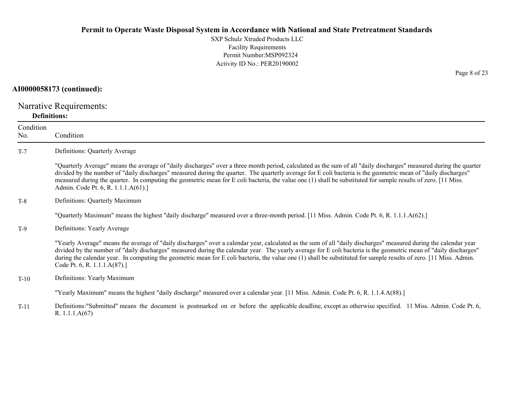SXP Schulz Xtruded Products LLCFacility Requirements Permit Number:MSP092324 Activity ID No.: PER20190002

#### **AI0000058173 (continued):**

Narrative Requirements: **Definitions:**

R. 1.1.1.A(67)

ConditionNo. ConditionT-7 Definitions: Quarterly Average "Quarterly Average" means the average of "daily discharges" over a three month period, calculated as the sum of all "daily discharges" measured during the quarter divided by the number of "daily discharges" measured during the quarter. The quarterly average for E coli bacteria is the geometric mean of "daily discharges" measured during the quarter. In computing the geometric mean for E coli bacteria, the value one (1) shall be substituted for sample results of zero. [11 Miss. Admin. Code Pt. 6, R. 1.1.1.A(61).] T-8 Definitions: Quarterly Maximum "Quarterly Maximum" means the highest "daily discharge" measured over a three-month period. [11 Miss. Admin. Code Pt. 6, R. 1.1.1.A(62).] T-9 Definitions: Yearly Average "Yearly Average" means the average of "daily discharges" over a calendar year, calculated as the sum of all "daily discharges" measured during the calendar year divided by the number of "daily discharges" measured during the calendar year. The yearly average for E coli bacteria is the geometric mean of "daily discharges" during the calendar year. In computing the geometric mean for E coli bacteria, the value one (1) shall be substituted for sample results of zero. [11 Miss. Admin. Code Pt. 6, R. 1.1.1.A(87).] T-10 Definitions: Yearly Maximum "Yearly Maximum" means the highest "daily discharge" measured over a calendar year. [11 Miss. Admin. Code Pt. 6, R. 1.1.4.A(88).] T-11Definitions:"Submitted" means the document is postmarked on or before the applicable deadline, except as otherwise specified. 11 Miss. Admin. Code Pt. 6,

Page 8 of 23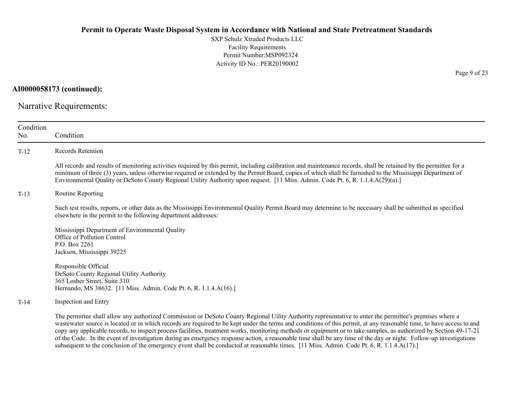SXP Schulz Xtruded Products LLC Facility Requirements Permit Number:MSP092324 Activity ID No.: PER20190002

**AI0000058173 (continued):**

Narrative Requirements:

| Condition<br>No. | Condition                                                                                                                                                                                                                                                                                                                                                                                                                                                                                              |
|------------------|--------------------------------------------------------------------------------------------------------------------------------------------------------------------------------------------------------------------------------------------------------------------------------------------------------------------------------------------------------------------------------------------------------------------------------------------------------------------------------------------------------|
| $T-12$           | Records Retention                                                                                                                                                                                                                                                                                                                                                                                                                                                                                      |
|                  | All records and results of monitoring activities required by this permit, including calibration and maintenance records, shall be retained by the permittee for a<br>minimum of three (3) years, unless otherwise required or extended by the Permit Board, copies of which shall be furnished to the Mississippi Department of<br>Environmental Quality or DeSoto County Regional Utility Authority upon request. [11 Miss. Admin. Code Pt. 6, R. 1.1.4.A(29)(a).]                                    |
| $T-13$           | Routine Reporting                                                                                                                                                                                                                                                                                                                                                                                                                                                                                      |
|                  | Such test results, reports, or other data as the Mississippi Environmental Quality Permit Board may determine to be necessary shall be submitted as specified<br>elsewhere in the permit to the following department addresses:                                                                                                                                                                                                                                                                        |
|                  | Mississippi Department of Environmental Quality<br>Office of Pollution Control<br>P.O. Box 2261<br>Jackson, Mississippi 39225                                                                                                                                                                                                                                                                                                                                                                          |
|                  | Responsible Official<br>DeSoto County Regional Utility Authority<br>365 Losher Street, Suite 310<br>Hernando, MS 38632. [11 Miss. Admin. Code Pt. 6, R. 1.1.4.A(16).]                                                                                                                                                                                                                                                                                                                                  |
| $T-14$           | Inspection and Entry                                                                                                                                                                                                                                                                                                                                                                                                                                                                                   |
|                  | The permittee shall allow any authorized Commission or DeSoto County Regional Uility Authority representative to enter the permittee's premises where a<br>wastewater source is located or in which records are required to be kept under the terms and conditions of this permit, at any reasonable time, to have access to and<br>copy any applicable records, to inspect process facilities, treatment works, monitoring methods or equipment or to take samples, as authorized by Section 49-17-21 |

of the Code. In the event of investigation during an emergency response action, a reasonable time shall be any time of the day or night. Follow-up investigations

subsequent to the conclusion of the emergency event shall be conducted at reasonable times. [11 Miss. Admin. Code Pt. 6, R. 1.1.4.A(17).]

Page 9 of 23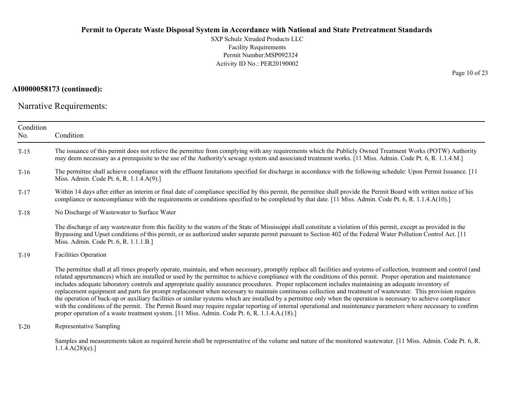SXP Schulz Xtruded Products LLC Facility Requirements Permit Number:MSP092324 Activity ID No.: PER20190002

## **AI0000058173 (continued):**

Narrative Requirements:

| Condition<br>No. | Condition                                                                                                                                                                                                                                                                                                                                                                                                                                                                                                                                                                                                                                                                                                                                                                                                                                                                                                                                                                                                                                                                                                |
|------------------|----------------------------------------------------------------------------------------------------------------------------------------------------------------------------------------------------------------------------------------------------------------------------------------------------------------------------------------------------------------------------------------------------------------------------------------------------------------------------------------------------------------------------------------------------------------------------------------------------------------------------------------------------------------------------------------------------------------------------------------------------------------------------------------------------------------------------------------------------------------------------------------------------------------------------------------------------------------------------------------------------------------------------------------------------------------------------------------------------------|
| $T-15$           | The issuance of this permit does not relieve the permittee from complying with any requirements which the Publicly Owned Treatment Works (POTW) Authority<br>may deem necessary as a prerequisite to the use of the Authority's sewage system and associated treatment works. [11 Miss. Admin. Code Pt. 6, R. 1.1.4.M.]                                                                                                                                                                                                                                                                                                                                                                                                                                                                                                                                                                                                                                                                                                                                                                                  |
| $T-16$           | The permittee shall achieve compliance with the effluent limitations specified for discharge in accordance with the following schedule: Upon Permit Issuance. [11<br>Miss. Admin. Code Pt. 6, R. 1.1.4.A(9).]                                                                                                                                                                                                                                                                                                                                                                                                                                                                                                                                                                                                                                                                                                                                                                                                                                                                                            |
| $T-17$           | Within 14 days after either an interim or final date of compliance specified by this permit, the permittee shall provide the Permit Board with written notice of his<br>compliance or noncompliance with the requirements or conditions specified to be completed by that date. [11 Miss. Admin. Code Pt. 6, R. 1.1.4.A(10).]                                                                                                                                                                                                                                                                                                                                                                                                                                                                                                                                                                                                                                                                                                                                                                            |
| $T-18$           | No Discharge of Wastewater to Surface Water                                                                                                                                                                                                                                                                                                                                                                                                                                                                                                                                                                                                                                                                                                                                                                                                                                                                                                                                                                                                                                                              |
|                  | The discharge of any wastewater from this facility to the waters of the State of Mississippi shall constitute a violation of this permit, except as provided in the<br>Bypassing and Upset conditions of this permit, or as authorized under separate permit pursuant to Section 402 of the Federal Water Pollution Control Act. [11]<br>Miss. Admin. Code Pt. 6, R. 1.1.1.B.]                                                                                                                                                                                                                                                                                                                                                                                                                                                                                                                                                                                                                                                                                                                           |
| $T-19$           | <b>Facilities Operation</b>                                                                                                                                                                                                                                                                                                                                                                                                                                                                                                                                                                                                                                                                                                                                                                                                                                                                                                                                                                                                                                                                              |
|                  | The permittee shall at all times properly operate, maintain, and when necessary, promptly replace all facilities and systems of collection, treatment and control (and<br>related appurtenances) which are installed or used by the permittee to achieve compliance with the conditions of this permit. Proper operation and maintenance<br>includes adequate laboratory controls and appropriate quality assurance procedures. Proper replacement includes maintaining an adequate inventory of<br>replacement equipment and parts for prompt replacement when necessary to maintain continuous collection and treatment of wastewater. This provision requires<br>the operation of back-up or auxiliary facilities or similar systems which are installed by a permittee only when the operation is necessary to achieve compliance<br>with the conditions of the permit. The Permit Board may require regular reporting of internal operational and maintenance parameters where necessary to confirm<br>proper operation of a waste treatment system. [11 Miss. Admin. Code Pt. 6, R. 1.1.4.A.(18).] |
| $T-20$           | Representative Sampling                                                                                                                                                                                                                                                                                                                                                                                                                                                                                                                                                                                                                                                                                                                                                                                                                                                                                                                                                                                                                                                                                  |
|                  | Samples and measurements taken as required herein shall be representative of the volume and nature of the monitored wastewater. [11 Miss. Admin. Code Pt. 6, R.<br>1.1.4.A(28)(e).                                                                                                                                                                                                                                                                                                                                                                                                                                                                                                                                                                                                                                                                                                                                                                                                                                                                                                                       |

Page 10 of 23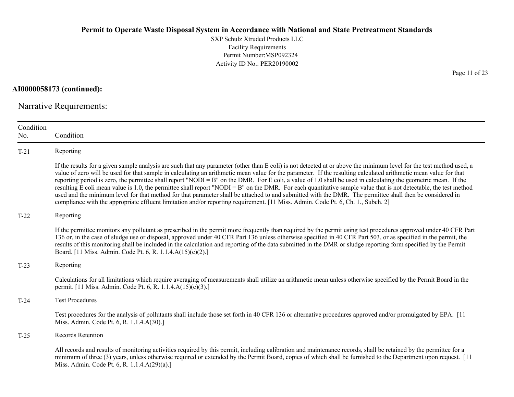SXP Schulz Xtruded Products LLC Facility Requirements Permit Number:MSP092324 Activity ID No.: PER20190002

**AI0000058173 (continued):**

Narrative Requirements:

| Condition<br>No. | Condition                                                                                                                                                                                                                                                                                                                                                                                                                                                                                                                                                                                                                                                                                                                                                                                                                                                                                                                                                                      |
|------------------|--------------------------------------------------------------------------------------------------------------------------------------------------------------------------------------------------------------------------------------------------------------------------------------------------------------------------------------------------------------------------------------------------------------------------------------------------------------------------------------------------------------------------------------------------------------------------------------------------------------------------------------------------------------------------------------------------------------------------------------------------------------------------------------------------------------------------------------------------------------------------------------------------------------------------------------------------------------------------------|
| $T-21$           | Reporting                                                                                                                                                                                                                                                                                                                                                                                                                                                                                                                                                                                                                                                                                                                                                                                                                                                                                                                                                                      |
|                  | If the results for a given sample analysis are such that any parameter (other than E coli) is not detected at or above the minimum level for the test method used, a<br>value of zero will be used for that sample in calculating an arithmetic mean value for the parameter. If the resulting calculated arithmetic mean value for that<br>reporting period is zero, the permittee shall report "NODI = B" on the DMR. For E coli, a value of 1.0 shall be used in calculating the geometric mean. If the<br>resulting E coli mean value is 1.0, the permittee shall report "NODI = B" on the DMR. For each quantitative sample value that is not detectable, the test method<br>used and the minimum level for that method for that parameter shall be attached to and submitted with the DMR. The permittee shall then be considered in<br>compliance with the appropriate effluent limitation and/or reporting requirement. [11 Miss. Admin. Code Pt. 6, Ch. 1., Subch. 2] |
| $T-22$           | Reporting                                                                                                                                                                                                                                                                                                                                                                                                                                                                                                                                                                                                                                                                                                                                                                                                                                                                                                                                                                      |
|                  | If the permittee monitors any pollutant as prescribed in the permit more frequently than required by the permit using test procedures approved under 40 CFR Part<br>136 or, in the case of sludge use or disposal, approved under 40 CFR Part 136 unless otherwise specified in 40 CFR Part 503, or as specified in the permit, the<br>results of this monitoring shall be included in the calculation and reporting of the data submitted in the DMR or sludge reporting form specified by the Permit<br>Board. [11 Miss. Admin. Code Pt. 6, R. 1.1.4.A(15)(c)(2).]                                                                                                                                                                                                                                                                                                                                                                                                           |
| $T-23$           | Reporting                                                                                                                                                                                                                                                                                                                                                                                                                                                                                                                                                                                                                                                                                                                                                                                                                                                                                                                                                                      |
|                  | Calculations for all limitations which require averaging of measurements shall utilize an arithmetic mean unless otherwise specified by the Permit Board in the<br>permit. [11 Miss. Admin. Code Pt. 6, R. 1.1.4.A(15)(c)(3).]                                                                                                                                                                                                                                                                                                                                                                                                                                                                                                                                                                                                                                                                                                                                                 |
| $T-24$           | <b>Test Procedures</b>                                                                                                                                                                                                                                                                                                                                                                                                                                                                                                                                                                                                                                                                                                                                                                                                                                                                                                                                                         |
|                  | Test procedures for the analysis of pollutants shall include those set forth in 40 CFR 136 or alternative procedures approved and/or promulgated by EPA. [11]<br>Miss. Admin. Code Pt. 6, R. 1.1.4.A(30).]                                                                                                                                                                                                                                                                                                                                                                                                                                                                                                                                                                                                                                                                                                                                                                     |
| $T-25$           | Records Retention                                                                                                                                                                                                                                                                                                                                                                                                                                                                                                                                                                                                                                                                                                                                                                                                                                                                                                                                                              |
|                  | All records and results of monitoring activities required by this permit, including calibration and maintenance records, shall be retained by the permittee for a<br>minimum of three (3) years, unless otherwise required or extended by the Permit Board, copies of which shall be furnished to the Department upon request. [11]<br>Miss. Admin. Code Pt. 6, R. 1.1.4.A(29)(a).]                                                                                                                                                                                                                                                                                                                                                                                                                                                                                                                                                                                            |

Page 11 of 23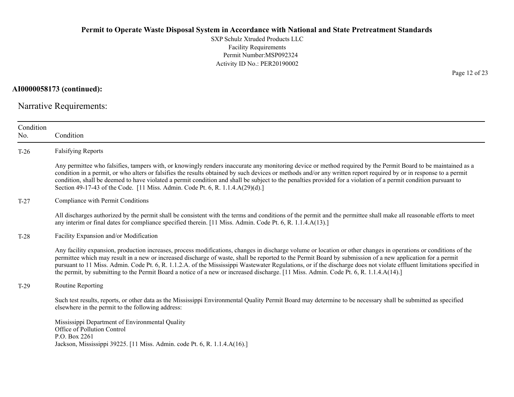SXP Schulz Xtruded Products LLC Facility Requirements Permit Number:MSP092324 Activity ID No.: PER20190002

**AI0000058173 (continued):**

Narrative Requirements:

| Condition<br>No. | Condition                                                                                                                                                                                                                                                                                                                                                                                                                                                                                                                                                                                                                                        |
|------------------|--------------------------------------------------------------------------------------------------------------------------------------------------------------------------------------------------------------------------------------------------------------------------------------------------------------------------------------------------------------------------------------------------------------------------------------------------------------------------------------------------------------------------------------------------------------------------------------------------------------------------------------------------|
| $T-26$           | <b>Falsifying Reports</b>                                                                                                                                                                                                                                                                                                                                                                                                                                                                                                                                                                                                                        |
|                  | Any permittee who falsifies, tampers with, or knowingly renders inaccurate any monitoring device or method required by the Permit Board to be maintained as a<br>condition in a permit, or who alters or falsifies the results obtained by such devices or methods and/or any written report required by or in response to a permit<br>condition, shall be deemed to have violated a permit condition and shall be subject to the penalties provided for a violation of a permit condition pursuant to<br>Section 49-17-43 of the Code. [11 Miss. Admin. Code Pt. 6, R. 1.1.4.A(29)(d).]                                                         |
| $T-27$           | Compliance with Permit Conditions                                                                                                                                                                                                                                                                                                                                                                                                                                                                                                                                                                                                                |
|                  | All discharges authorized by the permit shall be consistent with the terms and conditions of the permit and the permittee shall make all reasonable efforts to meet<br>any interim or final dates for compliance specified therein. [11 Miss. Admin. Code Pt. 6, R. 1.1.4.A(13).]                                                                                                                                                                                                                                                                                                                                                                |
| $T-28$           | Facility Expansion and/or Modification                                                                                                                                                                                                                                                                                                                                                                                                                                                                                                                                                                                                           |
|                  | Any facility expansion, production increases, process modifications, changes in discharge volume or location or other changes in operations or conditions of the<br>permittee which may result in a new or increased discharge of waste, shall be reported to the Permit Board by submission of a new application for a permit<br>pursuant to 11 Miss. Admin. Code Pt. 6, R. 1.1.2.A. of the Mississippi Wastewater Regulations, or if the discharge does not violate effluent limitations specified in<br>the permit, by submitting to the Permit Board a notice of a new or increased discharge. [11 Miss. Admin. Code Pt. 6, R. 1.1.4.A(14).] |
| $T-29$           | Routine Reporting                                                                                                                                                                                                                                                                                                                                                                                                                                                                                                                                                                                                                                |
|                  | Such test results, reports, or other data as the Mississippi Environmental Quality Permit Board may determine to be necessary shall be submitted as specified<br>elsewhere in the permit to the following address:                                                                                                                                                                                                                                                                                                                                                                                                                               |
|                  | Mississippi Department of Environmental Quality<br>Office of Pollution Control<br>P.O. Box 2261<br>Jackson, Mississippi 39225. [11 Miss. Admin. code Pt. 6, R. 1.1.4.A(16).]                                                                                                                                                                                                                                                                                                                                                                                                                                                                     |

Page 12 of 23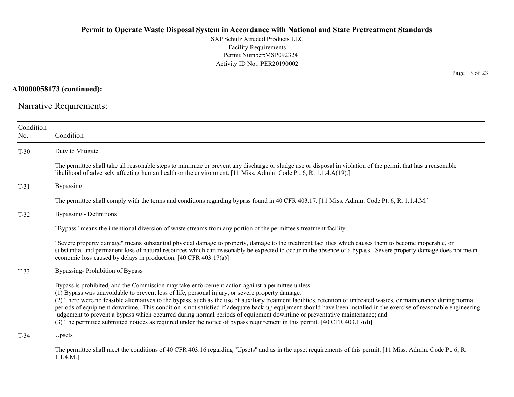SXP Schulz Xtruded Products LLC Facility Requirements Permit Number:MSP092324 Activity ID No.: PER20190002

**AI0000058173 (continued):**

Narrative Requirements:

| Condition<br>No. | Condition                                                                                                                                                                                                                                                                                                                                                                                                                                                                                                                                                                                                                                                                                                                                                                                                   |
|------------------|-------------------------------------------------------------------------------------------------------------------------------------------------------------------------------------------------------------------------------------------------------------------------------------------------------------------------------------------------------------------------------------------------------------------------------------------------------------------------------------------------------------------------------------------------------------------------------------------------------------------------------------------------------------------------------------------------------------------------------------------------------------------------------------------------------------|
| $T-30$           | Duty to Mitigate                                                                                                                                                                                                                                                                                                                                                                                                                                                                                                                                                                                                                                                                                                                                                                                            |
|                  | The permittee shall take all reasonable steps to minimize or prevent any discharge or sludge use or disposal in violation of the permit that has a reasonable<br>likelihood of adversely affecting human health or the environment. [11 Miss. Admin. Code Pt. 6, R. 1.1.4.A(19).]                                                                                                                                                                                                                                                                                                                                                                                                                                                                                                                           |
| $T-31$           | <b>Bypassing</b>                                                                                                                                                                                                                                                                                                                                                                                                                                                                                                                                                                                                                                                                                                                                                                                            |
|                  | The permittee shall comply with the terms and conditions regarding bypass found in 40 CFR 403.17. [11 Miss. Admin. Code Pt. 6, R. 1.1.4.M.]                                                                                                                                                                                                                                                                                                                                                                                                                                                                                                                                                                                                                                                                 |
| $T-32$           | <b>Bypassing - Definitions</b>                                                                                                                                                                                                                                                                                                                                                                                                                                                                                                                                                                                                                                                                                                                                                                              |
|                  | "Bypass" means the intentional diversion of waste streams from any portion of the permittee's treatment facility.                                                                                                                                                                                                                                                                                                                                                                                                                                                                                                                                                                                                                                                                                           |
|                  | "Severe property damage" means substantial physical damage to property, damage to the treatment facilities which causes them to become inoperable, or<br>substantial and permanent loss of natural resources which can reasonably be expected to occur in the absence of a bypass. Severe property damage does not mean<br>economic loss caused by delays in production. [40 CFR 403.17(a)]                                                                                                                                                                                                                                                                                                                                                                                                                 |
| $T-33$           | Bypassing-Prohibition of Bypass                                                                                                                                                                                                                                                                                                                                                                                                                                                                                                                                                                                                                                                                                                                                                                             |
|                  | Bypass is prohibited, and the Commission may take enforcement action against a permittee unless:<br>(1) Bypass was unavoidable to prevent loss of life, personal injury, or severe property damage.<br>(2) There were no feasible alternatives to the bypass, such as the use of auxiliary treatment facilities, retention of untreated wastes, or maintenance during normal<br>periods of equipment downtime. This condition is not satisfied if adequate back-up equipment should have been installed in the exercise of reasonable engineering<br>judgement to prevent a bypass which occurred during normal periods of equipment downtime or preventative maintenance; and<br>(3) The permittee submitted notices as required under the notice of bypass requirement in this permit. [40 CFR 403.17(d)] |
| $T-34$           | Upsets                                                                                                                                                                                                                                                                                                                                                                                                                                                                                                                                                                                                                                                                                                                                                                                                      |
|                  | The permittee shall meet the conditions of 40 CFR 403.16 regarding "Upsets" and as in the upset requirements of this permit. [11 Miss. Admin. Code Pt. 6, R.<br>1.1.4.M.                                                                                                                                                                                                                                                                                                                                                                                                                                                                                                                                                                                                                                    |

Page 13 of 23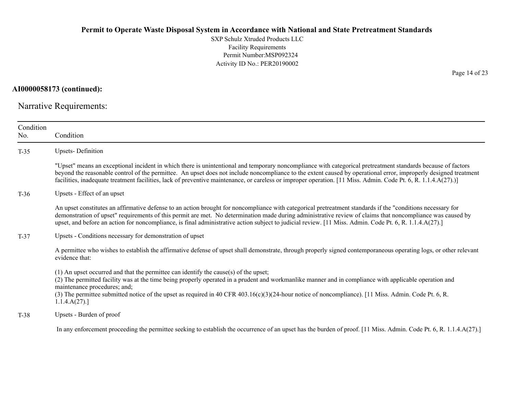SXP Schulz Xtruded Products LLC Facility Requirements Permit Number:MSP092324 Activity ID No.: PER20190002

**AI0000058173 (continued):**

Narrative Requirements:

| Condition<br>No. | Condition                                                                                                                                                                                                                                                                                                                                                                                                                                                                                          |
|------------------|----------------------------------------------------------------------------------------------------------------------------------------------------------------------------------------------------------------------------------------------------------------------------------------------------------------------------------------------------------------------------------------------------------------------------------------------------------------------------------------------------|
| $T-35$           | <b>Upsets-Definition</b>                                                                                                                                                                                                                                                                                                                                                                                                                                                                           |
|                  | "Upset" means an exceptional incident in which there is unintentional and temporary noncompliance with categorical pretreatment standards because of factors<br>beyond the reasonable control of the permittee. An upset does not include noncompliance to the extent caused by operational error, improperly designed treatment<br>facilities, inadequate treatment facilities, lack of preventive maintenance, or careless or improper operation. [11 Miss. Admin. Code Pt. 6, R. 1.1.4.A(27).)] |
| $T-36$           | Upsets - Effect of an upset                                                                                                                                                                                                                                                                                                                                                                                                                                                                        |
|                  | An upset constitutes an affirmative defense to an action brought for noncompliance with categorical pretreatment standards if the "conditions necessary for<br>demonstration of upset" requirements of this permit are met. No determination made during administrative review of claims that noncompliance was caused by<br>upset, and before an action for noncompliance, is final administrative action subject to judicial review. [11 Miss. Admin. Code Pt. 6, R. 1.1.4.A(27).]               |
| $T-37$           | Upsets - Conditions necessary for demonstration of upset                                                                                                                                                                                                                                                                                                                                                                                                                                           |
|                  | A permittee who wishes to establish the affirmative defense of upset shall demonstrate, through properly signed contemporaneous operating logs, or other relevant<br>evidence that:                                                                                                                                                                                                                                                                                                                |
|                  | $(1)$ An upset occurred and that the permittee can identify the cause(s) of the upset;<br>(2) The permitted facility was at the time being properly operated in a prudent and workmanlike manner and in compliance with applicable operation and<br>maintenance procedures; and;<br>(3) The permittee submitted notice of the upset as required in 40 CFR 403.16(c)(3)(24-hour notice of noncompliance). [11 Miss. Admin. Code Pt. 6, R.<br>1.1.4.A(27).                                           |
| $T-38$           | Upsets - Burden of proof                                                                                                                                                                                                                                                                                                                                                                                                                                                                           |
|                  | In any enforcement proceeding the permittee seeking to establish the occurrence of an upset has the burden of proof. [11 Miss. Admin. Code Pt. 6, R. 1.1.4.A(27).]                                                                                                                                                                                                                                                                                                                                 |

Page 14 of 23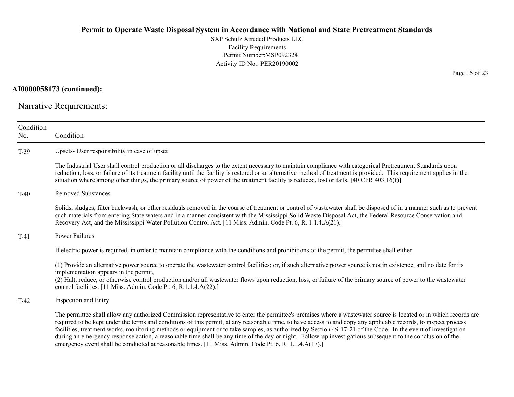SXP Schulz Xtruded Products LLC Facility Requirements Permit Number:MSP092324 Activity ID No.: PER20190002

**AI0000058173 (continued):**

Narrative Requirements:

| Condition<br>No. | Condition                                                                                                                                                                                                                                                                                                                                                                                                                                                                                                                                                                                                                                                                                                                                                                     |
|------------------|-------------------------------------------------------------------------------------------------------------------------------------------------------------------------------------------------------------------------------------------------------------------------------------------------------------------------------------------------------------------------------------------------------------------------------------------------------------------------------------------------------------------------------------------------------------------------------------------------------------------------------------------------------------------------------------------------------------------------------------------------------------------------------|
| $T-39$           | Upsets- User responsibility in case of upset                                                                                                                                                                                                                                                                                                                                                                                                                                                                                                                                                                                                                                                                                                                                  |
|                  | The Industrial User shall control production or all discharges to the extent necessary to maintain compliance with categorical Pretreatment Standards upon<br>reduction, loss, or failure of its treatment facility until the facility is restored or an alternative method of treatment is provided. This requirement applies in the<br>situation where among other things, the primary source of power of the treatment facility is reduced, lost or fails. [40 CFR 403.16(f)]                                                                                                                                                                                                                                                                                              |
| $T-40$           | <b>Removed Substances</b>                                                                                                                                                                                                                                                                                                                                                                                                                                                                                                                                                                                                                                                                                                                                                     |
|                  | Solids, sludges, filter backwash, or other residuals removed in the course of treatment or control of wastewater shall be disposed of in a manner such as to prevent<br>such materials from entering State waters and in a manner consistent with the Mississippi Solid Waste Disposal Act, the Federal Resource Conservation and<br>Recovery Act, and the Mississippi Water Pollution Control Act. [11 Miss. Admin. Code Pt. 6, R. 1.1.4.A(21).]                                                                                                                                                                                                                                                                                                                             |
| $T-41$           | Power Failures                                                                                                                                                                                                                                                                                                                                                                                                                                                                                                                                                                                                                                                                                                                                                                |
|                  | If electric power is required, in order to maintain compliance with the conditions and prohibitions of the permit, the permittee shall either:                                                                                                                                                                                                                                                                                                                                                                                                                                                                                                                                                                                                                                |
|                  | (1) Provide an alternative power source to operate the wastewater control facilities; or, if such alternative power source is not in existence, and no date for its<br>implementation appears in the permit,<br>(2) Halt, reduce, or otherwise control production and/or all wastewater flows upon reduction, loss, or failure of the primary source of power to the wastewater<br>control facilities. [11 Miss. Admin. Code Pt. 6, R.1.1.4.A(22).]                                                                                                                                                                                                                                                                                                                           |
| $T-42$           | Inspection and Entry                                                                                                                                                                                                                                                                                                                                                                                                                                                                                                                                                                                                                                                                                                                                                          |
|                  | The permittee shall allow any authorized Commission representative to enter the permittee's premises where a wastewater source is located or in which records are<br>required to be kept under the terms and conditions of this permit, at any reasonable time, to have access to and copy any applicable records, to inspect process<br>facilities, treatment works, monitoring methods or equipment or to take samples, as authorized by Section 49-17-21 of the Code. In the event of investigation<br>during an emergency response action, a reasonable time shall be any time of the day or night. Follow-up investigations subsequent to the conclusion of the<br>emergency event shall be conducted at reasonable times. [11 Miss. Admin. Code Pt. 6, R. 1.1.4.A(17).] |

Page 15 of 23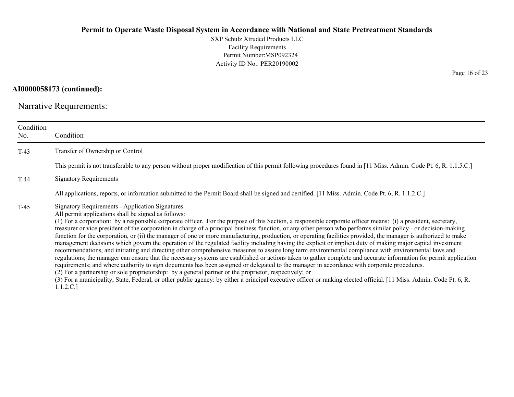SXP Schulz Xtruded Products LLC Facility Requirements Permit Number:MSP092324 Activity ID No.: PER20190002

**AI0000058173 (continued):**

Narrative Requirements:

| Condition<br>No. | Condition                                                                                                                                                                                                                                                                                                                                                                                                                                                                                                                                                                                                                                                                                                                                                                                                                                                                                                                                                                                                                                                                                                                                                                                                                                                                                                                                                                                                                                                                                                                                                      |
|------------------|----------------------------------------------------------------------------------------------------------------------------------------------------------------------------------------------------------------------------------------------------------------------------------------------------------------------------------------------------------------------------------------------------------------------------------------------------------------------------------------------------------------------------------------------------------------------------------------------------------------------------------------------------------------------------------------------------------------------------------------------------------------------------------------------------------------------------------------------------------------------------------------------------------------------------------------------------------------------------------------------------------------------------------------------------------------------------------------------------------------------------------------------------------------------------------------------------------------------------------------------------------------------------------------------------------------------------------------------------------------------------------------------------------------------------------------------------------------------------------------------------------------------------------------------------------------|
| $T-43$           | Transfer of Ownership or Control                                                                                                                                                                                                                                                                                                                                                                                                                                                                                                                                                                                                                                                                                                                                                                                                                                                                                                                                                                                                                                                                                                                                                                                                                                                                                                                                                                                                                                                                                                                               |
|                  | This permit is not transferable to any person without proper modification of this permit following procedures found in [11 Miss. Admin. Code Pt. 6, R. 1.1.5.C.]                                                                                                                                                                                                                                                                                                                                                                                                                                                                                                                                                                                                                                                                                                                                                                                                                                                                                                                                                                                                                                                                                                                                                                                                                                                                                                                                                                                               |
| $T-44$           | <b>Signatory Requirements</b>                                                                                                                                                                                                                                                                                                                                                                                                                                                                                                                                                                                                                                                                                                                                                                                                                                                                                                                                                                                                                                                                                                                                                                                                                                                                                                                                                                                                                                                                                                                                  |
|                  | All applications, reports, or information submitted to the Permit Board shall be signed and certified. [11 Miss. Admin. Code Pt. 6, R. 1.1.2.C.]                                                                                                                                                                                                                                                                                                                                                                                                                                                                                                                                                                                                                                                                                                                                                                                                                                                                                                                                                                                                                                                                                                                                                                                                                                                                                                                                                                                                               |
| $T-45$           | <b>Signatory Requirements - Application Signatures</b><br>All permit applications shall be signed as follows:<br>(1) For a corporation: by a responsible corporate officer. For the purpose of this Section, a responsible corporate officer means: (i) a president, secretary,<br>treasurer or vice president of the corporation in charge of a principal business function, or any other person who performs similar policy - or decision-making<br>function for the corporation, or (ii) the manager of one or more manufacturing, production, or operating facilities provided, the manager is authorized to make<br>management decisions which govern the operation of the regulated facility including having the explicit or implicit duty of making major capital investment<br>recommendations, and initiating and directing other comprehensive measures to assure long term environmental compliance with environmental laws and<br>regulations; the manager can ensure that the necessary systems are established or actions taken to gather complete and accurate information for permit application<br>requirements; and where authority to sign documents has been assigned or delegated to the manager in accordance with corporate procedures.<br>(2) For a partnership or sole proprietorship: by a general partner or the proprietor, respectively; or<br>(3) For a municipality, State, Federal, or other public agency: by either a principal executive officer or ranking elected official. [11 Miss. Admin. Code Pt. 6, R.<br>1.1.2.C.] |

Page 16 of 23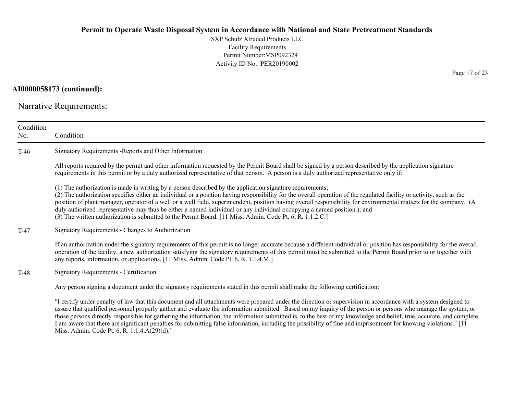SXP Schulz Xtruded Products LLC Facility Requirements Permit Number:MSP092324 Activity ID No.: PER20190002

## **AI0000058173 (continued):**

Narrative Requirements:

Miss. Admin. Code Pt. 6, R. 1.1.4.A(29)(d).]

| Condition<br>No. | Condition                                                                                                                                                                                                                                                                                                                                                                                                                                                                                                                                                                                                                                                                                          |
|------------------|----------------------------------------------------------------------------------------------------------------------------------------------------------------------------------------------------------------------------------------------------------------------------------------------------------------------------------------------------------------------------------------------------------------------------------------------------------------------------------------------------------------------------------------------------------------------------------------------------------------------------------------------------------------------------------------------------|
| $T-46$           | Signatory Requirements - Reports and Other Information                                                                                                                                                                                                                                                                                                                                                                                                                                                                                                                                                                                                                                             |
|                  | All reports required by the permit and other information requested by the Permit Board shall be signed by a person described by the application signature<br>requirements in this permit or by a duly authorized representative of that person. A person is a duly authorized representative only if:                                                                                                                                                                                                                                                                                                                                                                                              |
|                  | (1) The authorization is made in writing by a person described by the application signature requirements;<br>(2) The authorization specifies either an individual or a position having responsibility for the overall operation of the regulated facility or activity, such as the<br>position of plant manager, operator of a well or a well field, superintendent, position having overall responsibility for environmental matters for the company. (A<br>duly authorized representative may thus be either a named individual or any individual occupying a named position.); and<br>(3) The written authorization is submitted to the Permit Board. [11 Miss. Admin. Code Pt. 6, R. 1.1.2.C.] |
| $T-47$           | Signatory Requirements - Changes to Authorization                                                                                                                                                                                                                                                                                                                                                                                                                                                                                                                                                                                                                                                  |
|                  | If an authorization under the signatory requirements of this permit is no longer accurate because a different individual or position has responsibility for the overall<br>operation of the facility, a new authorization satisfying the signatory requirements of this permit must be submitted to the Permit Board prior to or together with<br>any reports, information, or applications. [11 Miss. Admin. Code Pt. 6, R. 1.1.4.M.]                                                                                                                                                                                                                                                             |
| $T-48$           | Signatory Requirements - Certification                                                                                                                                                                                                                                                                                                                                                                                                                                                                                                                                                                                                                                                             |
|                  | Any person signing a document under the signatory requirements stated in this permit shall make the following certification:                                                                                                                                                                                                                                                                                                                                                                                                                                                                                                                                                                       |
|                  | "I certify under penalty of law that this document and all attachments were prepared under the direction or supervision in accordance with a system designed to<br>assure that qualified personnel properly gather and evaluate the information submitted. Based on my inquiry of the person or persons who manage the system, or<br>those persons directly responsible for gathering the information, the information submitted is, to the best of my knowledge and belief, true, accurate, and complete.<br>I am aware that there are significant penalties for submitting false information, including the possibility of fine and imprisonment for knowing violations." [11                    |

Page 17 of 23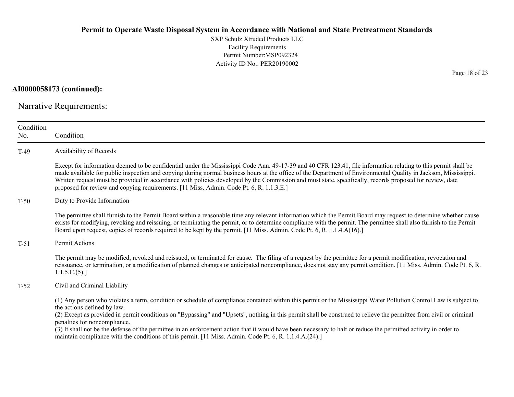SXP Schulz Xtruded Products LLC Facility Requirements Permit Number:MSP092324 Activity ID No.: PER20190002

**AI0000058173 (continued):**

Narrative Requirements:

| Condition<br>No. | Condition                                                                                                                                                                                                                                                                                                                                                                                                                                                                                                                                                                                                                                                                            |
|------------------|--------------------------------------------------------------------------------------------------------------------------------------------------------------------------------------------------------------------------------------------------------------------------------------------------------------------------------------------------------------------------------------------------------------------------------------------------------------------------------------------------------------------------------------------------------------------------------------------------------------------------------------------------------------------------------------|
| $T-49$           | Availability of Records                                                                                                                                                                                                                                                                                                                                                                                                                                                                                                                                                                                                                                                              |
|                  | Except for information deemed to be confidential under the Mississippi Code Ann. 49-17-39 and 40 CFR 123.41, file information relating to this permit shall be<br>made available for public inspection and copying during normal business hours at the office of the Department of Environmental Quality in Jackson, Mississippi.<br>Written request must be provided in accordance with policies developed by the Commission and must state, specifically, records proposed for review, date<br>proposed for review and copying requirements. [11 Miss. Admin. Code Pt. 6, R. 1.1.3.E.]                                                                                             |
| $T-50$           | Duty to Provide Information                                                                                                                                                                                                                                                                                                                                                                                                                                                                                                                                                                                                                                                          |
|                  | The permittee shall furnish to the Permit Board within a reasonable time any relevant information which the Permit Board may request to determine whether cause<br>exists for modifying, revoking and reissuing, or terminating the permit, or to determine compliance with the permit. The permittee shall also furnish to the Permit<br>Board upon request, copies of records required to be kept by the permit. [11 Miss. Admin. Code Pt. 6, R. 1.1.4.A(16).]                                                                                                                                                                                                                     |
| $T-51$           | Permit Actions                                                                                                                                                                                                                                                                                                                                                                                                                                                                                                                                                                                                                                                                       |
|                  | The permit may be modified, revoked and reissued, or terminated for cause. The filing of a request by the permittee for a permit modification, revocation and<br>reissuance, or termination, or a modification of planned changes or anticipated noncompliance, does not stay any permit condition. [11 Miss. Admin. Code Pt. 6, R.<br>1.1.5.C.(5).                                                                                                                                                                                                                                                                                                                                  |
| $T-52$           | Civil and Criminal Liability                                                                                                                                                                                                                                                                                                                                                                                                                                                                                                                                                                                                                                                         |
|                  | (1) Any person who violates a term, condition or schedule of compliance contained within this permit or the Mississippi Water Pollution Control Law is subject to<br>the actions defined by law.<br>(2) Except as provided in permit conditions on "Bypassing" and "Upsets", nothing in this permit shall be construed to relieve the permittee from civil or criminal<br>penalties for noncompliance.<br>(3) It shall not be the defense of the permittee in an enforcement action that it would have been necessary to halt or reduce the permitted activity in order to<br>maintain compliance with the conditions of this permit. [11 Miss. Admin. Code Pt. 6, R. 1.1.4.A.(24).] |

Page 18 of 23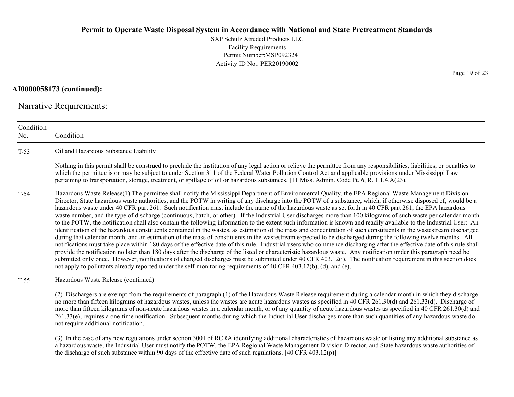SXP Schulz Xtruded Products LLCFacility Requirements Permit Number:MSP092324Activity ID No.: PER20190002

**AI0000058173 (continued):**

Narrative Requirements:

not require additional notification.

ConditionNo. ConditionT-53 Oil and Hazardous Substance Liability Nothing in this permit shall be construed to preclude the institution of any legal action or relieve the permittee from any responsibilities, liabilities, or penalties to which the permittee is or may be subject to under Section 311 of the Federal Water Pollution Control Act and applicable provisions under Mississippi Law pertaining to transportation, storage, treatment, or spillage of oil or hazardous substances. [11 Miss. Admin. Code Pt. 6, R. 1.1.4.A(23).] T-54 Hazardous Waste Release(1) The permittee shall notify the Mississippi Department of Environmental Quality, the EPA Regional Waste Management Division Director, State hazardous waste authorities, and the POTW in writing of any discharge into the POTW of a substance, which, if otherwise disposed of, would be a hazardous waste under 40 CFR part 261. Such notification must include the name of the hazardous waste as set forth in 40 CFR part 261, the EPA hazardous waste number, and the type of discharge (continuous, batch, or other). If the Industrial User discharges more than 100 kilograms of such waste per calendar month to the POTW, the notification shall also contain the following information to the extent such information is known and readily available to the Industrial User: An identification of the hazardous constituents contained in the wastes, as estimation of the mass and concentration of such constituents in the wastestream discharged during that calendar month, and an estimation of the mass of constituents in the wastestream expected to be discharged during the following twelve months. All notifications must take place within 180 days of the effective date of this rule. Industrial users who commence discharging after the effective date of this rule shall provide the notification no later than 180 days after the discharge of the listed or characteristic hazardous waste. Any notification under this paragraph need be submitted only once. However, notifications of changed discharges must be submitted under 40 CFR 403.12(j). The notification requirement in this section does not apply to pollutants already reported under the self-monitoring requirements of 40 CFR 403.12(b), (d), and (e). T-55 Hazardous Waste Release (continued) (2) Dischargers are exempt from the requirements of paragraph (1) of the Hazardous Waste Release requirement during a calendar month in which they discharge no more than fifteen kilograms of hazardous wastes, unless the wastes are acute hazardous wastes as specified in 40 CFR 261.30(d) and 261.33(d). Discharge of more than fifteen kilograms of non-acute hazardous wastes in a calendar month, or of any quantity of acute hazardous wastes as specified in 40 CFR 261.30(d) and

(3) In the case of any new regulations under section 3001 of RCRA identifying additional characteristics of hazardous waste or listing any additional substance as a hazardous waste, the Industrial User must notify the POTW, the EPA Regional Waste Management Division Director, and State hazardous waste authorities of the discharge of such substance within 90 days of the effective date of such regulations. [40 CFR 403.12(p)]

261.33(e), requires a one-time notification. Subsequent months during which the Industrial User discharges more than such quantities of any hazardous waste do

Page 19 of 23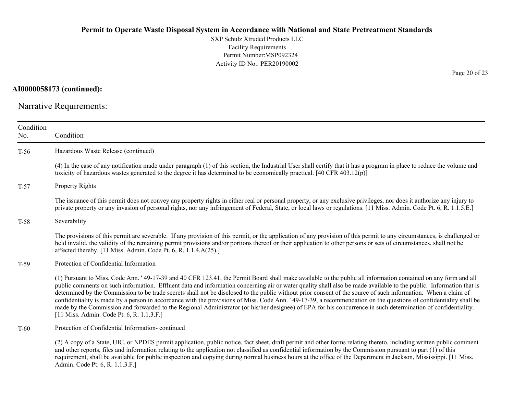SXP Schulz Xtruded Products LLC Facility Requirements Permit Number:MSP092324 Activity ID No.: PER20190002

**AI0000058173 (continued):**

Narrative Requirements:

| Condition<br>No. | Condition                                                                                                                                                                                                                                                                                                                                                                                                                                                                                                                                                                                                                                                                                                                                                                                                                                                                                  |
|------------------|--------------------------------------------------------------------------------------------------------------------------------------------------------------------------------------------------------------------------------------------------------------------------------------------------------------------------------------------------------------------------------------------------------------------------------------------------------------------------------------------------------------------------------------------------------------------------------------------------------------------------------------------------------------------------------------------------------------------------------------------------------------------------------------------------------------------------------------------------------------------------------------------|
| $T-56$           | Hazardous Waste Release (continued)                                                                                                                                                                                                                                                                                                                                                                                                                                                                                                                                                                                                                                                                                                                                                                                                                                                        |
|                  | (4) In the case of any notification made under paragraph (1) of this section, the Industrial User shall certify that it has a program in place to reduce the volume and<br>toxicity of hazardous wastes generated to the degree it has determined to be economically practical. [40 CFR 403.12(p)]                                                                                                                                                                                                                                                                                                                                                                                                                                                                                                                                                                                         |
| $T-57$           | <b>Property Rights</b>                                                                                                                                                                                                                                                                                                                                                                                                                                                                                                                                                                                                                                                                                                                                                                                                                                                                     |
|                  | The issuance of this permit does not convey any property rights in either real or personal property, or any exclusive privileges, nor does it authorize any injury to<br>private property or any invasion of personal rights, nor any infringement of Federal, State, or local laws or regulations. [11 Miss. Admin. Code Pt. 6, R. 1.1.5.E.]                                                                                                                                                                                                                                                                                                                                                                                                                                                                                                                                              |
| $T-58$           | Severability                                                                                                                                                                                                                                                                                                                                                                                                                                                                                                                                                                                                                                                                                                                                                                                                                                                                               |
|                  | The provisions of this permit are severable. If any provision of this permit, or the application of any provision of this permit to any circumstances, is challenged or<br>held invalid, the validity of the remaining permit provisions and/or portions thereof or their application to other persons or sets of circumstances, shall not be<br>affected thereby. [11 Miss. Admin. Code Pt. 6, R. 1.1.4.A(25).]                                                                                                                                                                                                                                                                                                                                                                                                                                                                           |
| $T-59$           | Protection of Confidential Information                                                                                                                                                                                                                                                                                                                                                                                                                                                                                                                                                                                                                                                                                                                                                                                                                                                     |
|                  | (1) Pursuant to Miss. Code Ann. ' 49-17-39 and 40 CFR 123.41, the Permit Board shall make available to the public all information contained on any form and all<br>public comments on such information. Effluent data and information concerning air or water quality shall also be made available to the public. Information that is<br>determined by the Commission to be trade secrets shall not be disclosed to the public without prior consent of the source of such information. When a claim of<br>confidentiality is made by a person in accordance with the provisions of Miss. Code Ann. '49-17-39, a recommendation on the questions of confidentiality shall be<br>made by the Commission and forwarded to the Regional Administrator (or his/her designee) of EPA for his concurrence in such determination of confidentiality.<br>[11 Miss. Admin. Code Pt. 6, R. 1.1.3.F.] |
| $T-60$           | Protection of Confidential Information-continued                                                                                                                                                                                                                                                                                                                                                                                                                                                                                                                                                                                                                                                                                                                                                                                                                                           |
|                  | (2) A copy of a State, UIC, or NPDES permit application, public notice, fact sheet, draft permit and other forms relating thereto, including written public comment<br>and other reports, files and information relating to the application not classified as confidential information by the Commission pursuant to part (1) of this<br>requirement, shall be available for public inspection and copying during normal business hours at the office of the Department in Jackson, Mississippi. [11 Miss.                                                                                                                                                                                                                                                                                                                                                                                 |

Admin. Code Pt. 6, R. 1.1.3.F.]

Page 20 of 23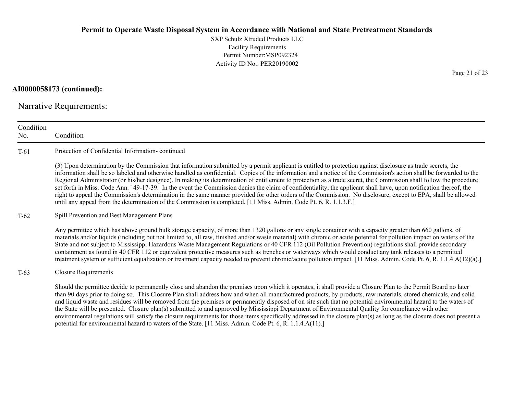SXP Schulz Xtruded Products LLC Facility Requirements Permit Number:MSP092324 Activity ID No.: PER20190002

**AI0000058173 (continued):**

Narrative Requirements:

| Condition<br>No. | Condition                                                                                                                                                                                                                                                                                                                                                                                                                                                                                                                                                                                                                                                                                                                                                                                                                                                                                                                                                            |
|------------------|----------------------------------------------------------------------------------------------------------------------------------------------------------------------------------------------------------------------------------------------------------------------------------------------------------------------------------------------------------------------------------------------------------------------------------------------------------------------------------------------------------------------------------------------------------------------------------------------------------------------------------------------------------------------------------------------------------------------------------------------------------------------------------------------------------------------------------------------------------------------------------------------------------------------------------------------------------------------|
| $T-61$           | Protection of Confidential Information-continued                                                                                                                                                                                                                                                                                                                                                                                                                                                                                                                                                                                                                                                                                                                                                                                                                                                                                                                     |
|                  | (3) Upon determination by the Commission that information submitted by a permit applicant is entitled to protection against disclosure as trade secrets, the<br>information shall be so labeled and otherwise handled as confidential. Copies of the information and a notice of the Commission's action shall be forwarded to the<br>Regional Administrator (or his/her designee). In making its determination of entitlement to protection as a trade secret, the Commission shall follow the procedure<br>set forth in Miss. Code Ann. '49-17-39. In the event the Commission denies the claim of confidentiality, the applicant shall have, upon notification thereof, the<br>right to appeal the Commission's determination in the same manner provided for other orders of the Commission. No disclosure, except to EPA, shall be allowed<br>until any appeal from the determination of the Commission is completed. [11 Miss. Admin. Code Pt. 6, R. 1.1.3.F.] |
| $T-62$           | Spill Prevention and Best Management Plans                                                                                                                                                                                                                                                                                                                                                                                                                                                                                                                                                                                                                                                                                                                                                                                                                                                                                                                           |
|                  | Any permittee which has above ground bulk storage capacity, of more than 1320 gallons or any single container with a capacity greater than 660 gallons, of<br>materials and/or liquids (including but not limited to, all raw, finished and/or waste material) with chronic or acute potential for pollution impact on waters of the<br>State and not subject to Mississippi Hazardous Waste Management Regulations or 40 CFR 112 (Oil Pollution Prevention) regulations shall provide secondary<br>containment as found in 40 CFR 112 or equivalent protective measures such as trenches or waterways which would conduct any tank releases to a permitted<br>treatment system or sufficient equalization or treatment capacity needed to prevent chronic/acute pollution impact. [11 Miss. Admin. Code Pt. 6, R. 1.1.4.A(12)(a).]                                                                                                                                  |
| T-63             | <b>Closure Requirements</b>                                                                                                                                                                                                                                                                                                                                                                                                                                                                                                                                                                                                                                                                                                                                                                                                                                                                                                                                          |
|                  | Should the permittee decide to permanently close and abandon the premises upon which it operates, it shall provide a Closure Plan to the Permit Board no later<br>than 90 days prior to doing so. This Closure Plan shall address how and when all manufactured products, by-products, raw materials, stored chemicals, and solid<br>and liquid waste and residues will be removed from the premises or permanently disposed of on site such that no potential environmental hazard to the waters of<br>the State will be presented. Closure plan(s) submitted to and approved by Mississippi Department of Environmental Quality for compliance with other<br>environmental regulations will satisfy the closure requirements for those items specifically addressed in the closure plan(s) as long as the closure does not present a<br>potential for environmental hazard to waters of the State. [11 Miss. Admin. Code Pt. 6, R. 1.1.4.A(11).]                   |

Page 21 of 23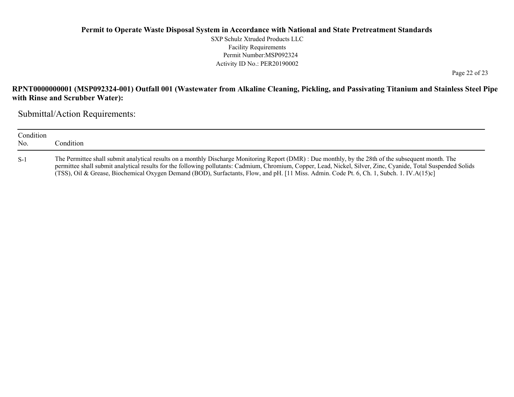SXP Schulz Xtruded Products LLC Facility Requirements Permit Number:MSP092324 Activity ID No.: PER20190002

Page 22 of 23

## **RPNT0000000001 (MSP092324-001) Outfall 001 (Wastewater from Alkaline Cleaning, Pickling, and Passivating Titanium and Stainless Steel Pipe with Rinse and Scrubber Water):**

Submittal/Action Requirements:

| Condition<br>No. | Condition                                                                                                                                                                                                                                                                                                                                                                                                                                                          |
|------------------|--------------------------------------------------------------------------------------------------------------------------------------------------------------------------------------------------------------------------------------------------------------------------------------------------------------------------------------------------------------------------------------------------------------------------------------------------------------------|
| $S-1$            | The Permittee shall submit analytical results on a monthly Discharge Monitoring Report (DMR): Due monthly, by the 28th of the subsequent month. The<br>permittee shall submit analytical results for the following pollutants: Cadmium, Chromium, Copper, Lead, Nickel, Silver, Zinc, Cyanide, Total Suspended Solids<br>(TSS), Oil & Grease, Biochemical Oxygen Demand (BOD), Surfactants, Flow, and pH. [11 Miss. Admin. Code Pt. 6, Ch. 1, Subch. 1. IV.A(15)c] |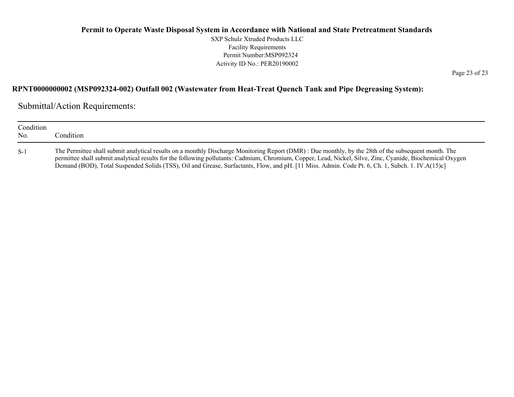SXP Schulz Xtruded Products LLC Facility Requirements Permit Number:MSP092324 Activity ID No.: PER20190002

Page 23 of 23

### **RPNT0000000002 (MSP092324-002) Outfall 002 (Wastewater from Heat-Treat Quench Tank and Pipe Degreasing System):**

Submittal/Action Requirements:

| Condition<br>No. | Condition                                                                                                                                                                                                                                                                                                                                                                                                                                                            |
|------------------|----------------------------------------------------------------------------------------------------------------------------------------------------------------------------------------------------------------------------------------------------------------------------------------------------------------------------------------------------------------------------------------------------------------------------------------------------------------------|
| $S-1$            | The Permittee shall submit analytical results on a monthly Discharge Monitoring Report (DMR) : Due monthly, by the 28th of the subsequent month. The<br>permittee shall submit analytical results for the following pollutants: Cadmium, Chromium, Copper, Lead, Nickel, Silve, Zinc, Cyanide, Biochemical Oxygen<br>Demand (BOD), Total Suspended Solids (TSS), Oil and Grease, Surfactants, Flow, and pH. [11 Miss. Admin. Code Pt. 6, Ch. 1, Subch. 1. IV.A(15)c] |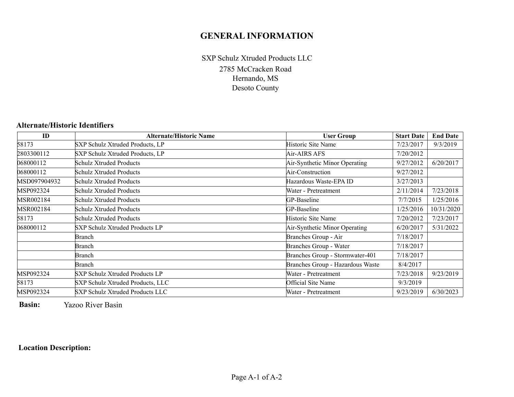# **GENERAL INFORMATION**

2785 McCracken Road Hernando, MS Desoto County SXP Schulz Xtruded Products LLC

#### **Alternate/Historic Identifiers**

| ID           | <b>Alternate/Historic Name</b>   | <b>User Group</b>                | <b>Start Date</b> | <b>End Date</b> |
|--------------|----------------------------------|----------------------------------|-------------------|-----------------|
| 58173        | SXP Schulz Xtruded Products, LP  | Historic Site Name               | 7/23/2017         | 9/3/2019        |
| 2803300112   | SXP Schulz Xtruded Products, LP  | Air-AIRS AFS                     | 7/20/2012         |                 |
| 068000112    | Schulz Xtruded Products          | Air-Synthetic Minor Operating    | 9/27/2012         | 6/20/2017       |
| 068000112    | Schulz Xtruded Products          | Air-Construction                 | 9/27/2012         |                 |
| MSD097904932 | Schulz Xtruded Products          | Hazardous Waste-EPA ID           | 3/27/2013         |                 |
| MSP092324    | <b>Schulz Xtruded Products</b>   | Water - Pretreatment             | 2/11/2014         | 7/23/2018       |
| MSR002184    | Schulz Xtruded Products          | GP-Baseline                      | 7/7/2015          | 1/25/2016       |
| MSR002184    | Schulz Xtruded Products          | GP-Baseline                      | 1/25/2016         | 10/31/2020      |
| 58173        | Schulz Xtruded Products          | Historic Site Name               | 7/20/2012         | 7/23/2017       |
| 068000112    | SXP Schulz Xtruded Products LP   | Air-Synthetic Minor Operating    | 6/20/2017         | 5/31/2022       |
|              | Branch                           | Branches Group - Air             | 7/18/2017         |                 |
|              | Branch                           | Branches Group - Water           | 7/18/2017         |                 |
|              | Branch                           | Branches Group - Stormwater-401  | 7/18/2017         |                 |
|              | Branch                           | Branches Group - Hazardous Waste | 8/4/2017          |                 |
| MSP092324    | SXP Schulz Xtruded Products LP   | Water - Pretreatment             | 7/23/2018         | 9/23/2019       |
| 58173        | SXP Schulz Xtruded Products, LLC | Official Site Name               | 9/3/2019          |                 |
| MSP092324    | SXP Schulz Xtruded Products LLC  | Water - Pretreatment             | 9/23/2019         | 6/30/2023       |

**Basin:**Yazoo River Basin

## **Location Description:**